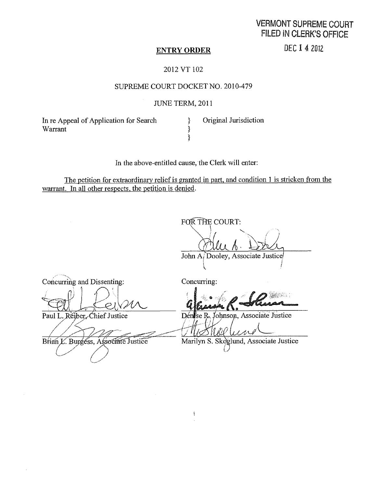# VERMONT SUPREME COURT FILED IN CLERK'S OFFICE

#### ENTRY ORDER

DEC 1 4 2012

## 2012 VT 102

### SUPREME COURT DOCKET NO. 2010-479

### JUNE TERM, 2011

In re Appeal of Application for Search [15] Original Jurisdiction Warrant  $\}$ 

In the above-entitled cause, the Clerk will enter:

}

The petition for extraordinary relief is granted in part, and condition 1 is stricken from the warrant. In all other respects. the petition is denied.

FOR THE COURT: John A/Dooley, Associate Justice

Concurring and Dissenting: Concurring:

å.

Paul L. Réiber, Chief Justice

į

Dense R. Johnson, Associate Justice

11 IO O

Brian *L*. Burgess, Associate Justice Marilyn S. Skoglund, Associate Justice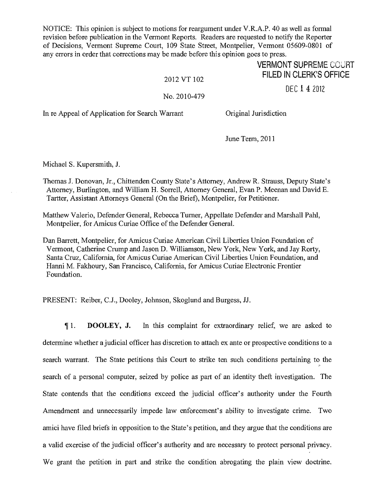NOTICE: This opinion is subject to motions for reargument under V.R.A.P. 40 as well as formal revision before publication in the Vermont Reports. Readers are requested to notify the Reporter of Decisions, Vermont Supreme Court, 109 State Street, Montpelier, Vermont 05609-0801 of any errors in order that corrections may be made before this opinion goes to press.

## **VERMONT SUPREME COURT** FILED IN CLERK'S OFFICE

2012 VT 102

No. 2010-479

DEC 1 4 2012

In re Appeal of Application for Search Warrant Original Jurisdiction

June Term, 2011

Michael S. Kupersmith, I

- Thomas J. Donovan, Jr., Chittenden County State's Attorney, Andrew R. Strauss, Deputy State's Attorney, Burlington, and William H. Sorrell, Attorney General, Evan P. Meenan and David E. Tartter, Assistant Attorneys General (On the Brief), Montpelier, for Petitioner.
- Matthew Valerio, Defender General, Rebecca Turner, Appellate Defender and Marshall Pahl, Montpelier, for Amicus Curiae Office of the Defender General.

Dan Barrett, Montpelier, for Amicus Curiae American Civil Liberties Union Foundation of Vermont, Catherine Crump and Jason D. Williamson, New York, New York, and Jay Rorty, Santa Cruz, California, for Amicus Curiae American Civil Liberties Union Foundation, and Hanni M. Fakhoury, San Francisco, California, for Amicus Curiae Electronic Frontier Foundation.

PRESENT: Reiber, C.J., Dooley, Johnson, Skoglund and Burgess, JJ.

1. DOOLEY, J. In this complaint for extraordinary relief, we are asked to determine whether a judicial officer has discretion to attach ex ante or prospective conditions to a search warrant. The State petitions this Court to strike ten such conditions pertaining to the search of a personal computer, seized by police as part of an identity theft investigation. The State contends that the conditions exceed the judicial officer's authority under the Fourth Amendment and unnecessarily impede law enforcement's ability to investigate crime. Two amici have filed briefs in opposition to the State's petition, and they argue that the conditions are a valid exercise of the judicial officer's authority and are necessary to protect personal privacy. We grant the petition in part and strike the condition abrogating the plain view doctrine.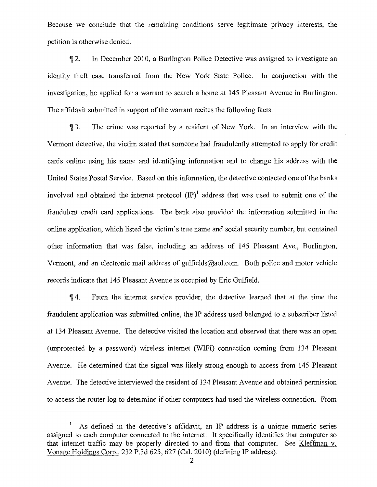Because we conclude that the remaining conditions serve legitimate privacy interests, the petition is otherwise denied.

If 2. In December 2010, a Burlington Police Detective was assigned to investigate an identity theft case transferred from the New York State Police. In conjunction with the investigation, he applied for a warrant to search a home at 145 Pleasant Avenue in Burlington. The affidavit submitted in support of the warrant recites the following facts.

II 3. The crime was reported by a resident of New York. In an interview with the Vermont detective, the victim stated that someone had fraudulently attempted to apply for credit cards online using his name and identifying information and to change his address with the United States Postal Service. Based on this information, the detective contacted one of the banks involved and obtained the internet protocol  ${\rm (IP)}^1$  address that was used to submit one of the fraudulent credit card applications. The bank also provided the information submitted in the online application, which listed the victim's true name and social security number, but contained other information that was false, including an address of 145 Pleasant Ave., Burlington, Vermont, and an electronic mail address of gulfields@aol.com . Both police and motor vehicle records indicate that 145 Pleasant Avenue is occupied by Eric Gulfield.

i[f 4. From the internet service provider, the detective learned that at the time the fraudulent application was submitted online, the IP address used belonged to a subscriber listed at 134 Pleasant Avenue. The detective visited the location and observed that there was an open (unprotected by a password) wireless internet (WIFI) connection coming from 134 Pleasant Avenue. He determined that the signal was likely strong enough to access from 145 Pleasant Avenue. The detective interviewed the resident of 134 Pleasant Avenue and obtained permission to access the router log to determine if other computers had used the wireless connection. From

As defined in the detective's affidavit, an IP address is a unique numeric series assigned to each computer connected to the internet. It specifically identifies that computer so that internet traffic may be properly directed to and from that computer. See Kleffman v. Vonage Holdings Corp., 232 P.3d 625, 627 (Cal. 2010) (defining IP address).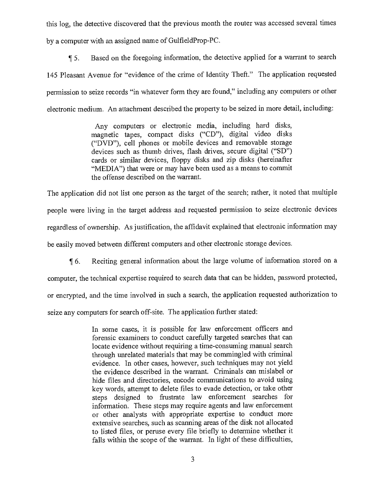this log, the detective discovered that the previous month the router was accessed several times by a computer with an assigned name of GulfieldProp-PC.

115. Based on the foregoing information, the detective applied for a warrant to search 145 Pleasant Avenue for "evidence of the crime of Identity Theft." The application requested permission to seize records "in whatever form they are found," including any computers or other electronic medium. An attachment described the property to be seized in more detail, including:

> Any computers or electronic media, including hard disks, magnetic tapes, compact disks ("CD"), digital video disks ("DVD"), cell phones or mobile devices and removable storage devices such as thumb drives, flash drives, secure digital ("SD") cards or similar devices, floppy disks and zip disks (hereinafter "MEDIA") that were or may have been used as a means to commit the offense described on the warrant.

The application did not list one person as the target of the search; rather, it noted that multiple people were living in the target address and requested permission to seize electronic devices regardless of ownership. As justification, the affidavit explained that electronic information may be easily moved between different computers and other electronic storage devices.

6. Reciting general information about the large volume of information stored on a

computer, the technical expertise required to search data that can be hidden, password protected,

or encrypted, and the time involved in such a search, the application requested authorization to

seize any computers for search off-site. The application further stated:

In some cases, it is possible for law enforcement officers and forensic examiners to conduct carefully targeted searches that can locate evidence without requiring a time-consuming manual search through unrelated materials that may be commingled with criminal evidence. In other cases, however, such techniques may not yield the evidence described in the warrant. Criminals can mislabel or hide files and directories, encode communications to avoid using key words, attempt to delete files to evade detection, or take other steps designed to frustrate law enforcement searches for information. These steps may require agents and law enforcement or other analysts with appropriate expertise to conduct more extensive searches, such as scanning areas of the disk not allocated to listed files, or peruse every file briefly to determine whether it falls within the scope of the warrant. In light of these difficulties,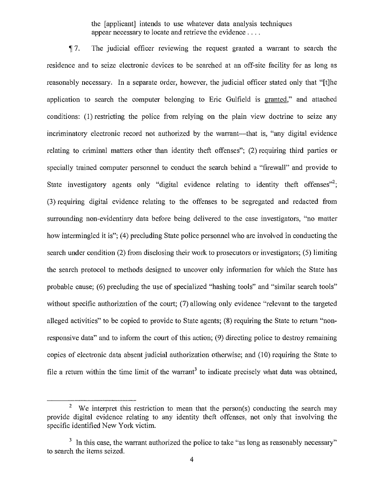the [applicant] intends to use whatever data analysis techniques appear necessary to locate and retrieve the evidence . . . .

<sup>11</sup>7. The judicial officer reviewing the request granted a warrant to search the residence and to seize electronic devices to be searched at an off-site facility for as long as reasonably necessary. In a separate order, however, the judicial officer stated only that "[t]he application to search the computer belonging to Eric Gulfield is granted," and attached conditions: (1) restricting the police from relying on the plain view doctrine to seize any incriminatory electronic record not authorized by the warrant—that is, "any digital evidence relating to criminal matters other than identity theft offenses"; (2) requiring third parties or specially trained computer personnel to conduct the search behind a "firewall" and provide to State investigatory agents only "digital evidence relating to identity theft offenses"<sup>2</sup>; (3) requiring digital evidence relating to the offenses to be segregated and redacted from surrounding non-evidentiary data before being delivered to the case investigators, "no matter how intermingled it is"; (4) precluding State police personnel who are involved in conducting the search under condition (2) from disclosing their work to prosecutors or investigators; (5) limiting the search protocol to methods designed to uncover only information for which the State has probable cause; (6) precluding the use of specialized "hashing tools" and "similar search tools" without specific authorization of the court; (7) allowing only evidence "relevant to the targeted alleged activities" to be copied to provide to State agents; (8) requiring the State to return "nonresponsive data" and to inform the court of this action; (9) directing police to destroy remaining copies of electronic data absent judicial authorization otherwise; and (10) requiring the State to file a return within the time limit of the warrant<sup>3</sup> to indicate precisely what data was obtained,

We interpret this restriction to mean that the person(s) conducting the search may provide digital evidence relating to any identity theft offenses, not only that involving the specific identified New York victim.

 $3$  In this case, the warrant authorized the police to take "as long as reasonably necessary" to search the items seized.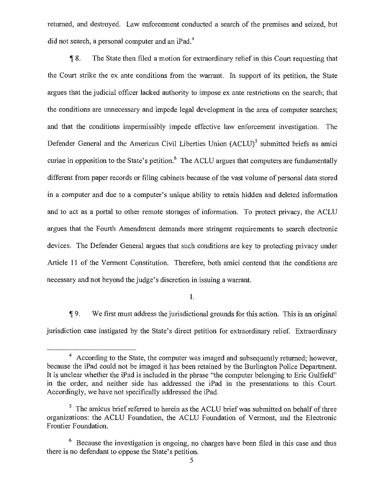returned, and destroyed. Law enforcement conducted a search of the premises and seized, but did not search, a personal computer and an iPad.<sup>4</sup>

¶ 8. The State then filed a motion for extraordinary relief in this Court requesting that the Court strike the ex ante conditions from the warrant. In support of its petition, the State argues that the judicial officer lacked authority to impose ex ante restrictions on the search; that the conditions are unnecessary and impede legal development in the area of computer searches; and that the conditions impermissibly impede effective law enforcement investigation. The Defender General and the American Civil Liberties Union  $(ACLU)^5$  submitted briefs as amici curiae in opposition to the State's petition.<sup>6</sup> The ACLU argues that computers are fundamentally different from paper records or filing cabinets because of the vast volume of personal data stored in a computer and due to a computer's unique ability to retain hidden and deleted information and to act as a portal to other remote storages of information. To protect privacy, the ACLU argues that the Fourth Amendment demands more stringent requirements to search electronic devices. The Defender General argues that such conditions are key to protecting privacy under Article 11 of the Vermont Constitution. Therefore, both amici contend that the conditions are necessary and not beyond the judge's discretion in issuing a warrant.

I.

¶ 9. We first must address the jurisdictional grounds for this action. This is an original jurisdiction case instigated by the State's direct petition for extraordinary relief. Extraordinary

<sup>&</sup>lt;sup>4</sup> According to the State, the computer was imaged and subsequently returned; however, because the iPad could not be imaged it has been retained by the Burlington Police Department. It is unclear whether the iPad is included in the phrase "the computer belonging to Eric Gulfield" in the order, and neither side has addressed the iPad in the presentations to this Court. Accordingly, we have not specifically addressed the iPad.

 $5$  The amicus brief referred to herein as the ACLU brief was submitted on behalf of three organizations: the ACLU Foundation, the ACLU Foundation of Vermont, and the Electronic Frontier Foundation.

 $6$  Because the investigation is ongoing, no charges have been filed in this case and thus there is no defendant to oppose the State's petition.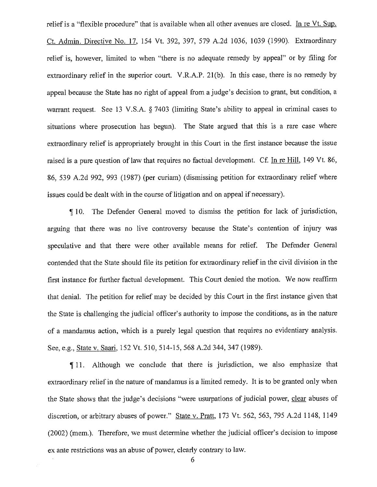relief is a "flexible procedure" that is available when all other avenues are closed. In re Vt. Sup. Ct. Admin. Directive No. 17, 154 Vt. 392, 397, 579 A.2d 1036, 1039 (1990). Extraordinary relief is, however, limited to when "there is no adequate remedy by appeal" or by filing for extraordinary relief in the superior court. V.R.A.P. 21(b). In this case, there is no remedy by appeal because the State has no right of appeal from a judge's decision to grant, but condition, a warrant request. See 13 V.S.A. § 7403 (limiting State's ability to appeal in criminal cases to situations where prosecution has begun). The State argued that this is a rare case where extraordinary relief is appropriately brought in this Court in the first instance because the issue raised is a pure question of law that requires no factual development. Cf. In re Hill, 149 Vt. 86, 86, 539 A.2d 992, 993 (1987) (per curiam) (dismissing petition for extraordinary relief where issues could be dealt with in the course of litigation and on appeal if necessary).

1110. The Defender General moved to dismiss the petition for lack of jurisdiction, arguing that there was no live controversy because the State's contention of injury was speculative and that there were other available means for relief. The Defender General contended that the State should file its petition for extraordinary relief in the civil division in the first instance for further factual development. This Court denied the motion. We now reaffirm that denial. The petition for relief may be decided by this Court in the first instance given that the State is challenging the judicial officer's authority to impose the conditions, as in the nature of a mandamus action, which is a purely legal question that requires no evidentiary analysis. See, e.g., State v. Saari, 152 Vt. 510, 514-15, 568 A.2d 344, 347 (1989).

¶ 11. Although we conclude that there is jurisdiction, we also emphasize that extraordinary relief in the nature of mandamus is a limited remedy. It is to be granted only when the State shows that the judge's decisions "were usurpations of judicial power, clear abuses of discretion, or arbitrary abuses of power." State v. Pratt, 173 Vt. 562, 563, 795 A.2d 1148, 1149 (2002) (mem.). Therefore, we must determine whether the judicial officer's decision to impose ex ante restrictions was an abuse of power, clearly contrary to law.

6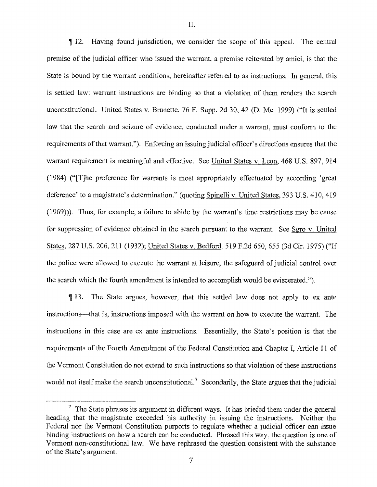¶ 12. Having found jurisdiction, we consider the scope of this appeal. The central premise of the judicial officer who issued the warrant, a premise reiterated by amici, is that the State is bound by the warrant conditions, hereinafter referred to as instructions. In general, this is settled law: warrant instructions are binding so that a violation of them renders the search unconstitutional. United States v. Brunette, 76 F. Supp. 2d 30, 42 (D. Me. 1999) ("It is settled law that the search and seizure of evidence, conducted under a warrant, must conform to the requirements of that warrant."). Enforcing an issuing judicial officer's directions ensures that the warrant requirement is meaningful and effective. See United States v. Leon, 468 U.S. 897, 914 (1984) ("[T]he preference for warrants is most appropriately effectuated by according 'great deference' to a magistrate's determination." (quoting Spinelli v. United States, 393 U.S. 410, 419 (1969))). Thus, for example, a failure to abide by the warrant's time restrictions may be cause for suppression of evidence obtained in the search pursuant to the warrant. See Sgro v. United States, 287 U.S. 206, 211 (1932); United States v. Bedford, 519 F.2d 650, 655 (3d Cir. 1975) ("If the police were allowed to execute the warrant at leisure, the safeguard of judicial control over the search which the fourth amendment is intended to accomplish would be eviscerated.").

¶ 13. The State argues, however, that this settled law does not apply to ex ante instructions—that is, instructions imposed with the warrant on how to execute the warrant. The instructions in this case are ex ante instructions. Essentially, the State's position is that the requirements of the Fourth Amendment of the Federal Constitution and Chapter 1, Article 11 of the Vermont Constitution do not extend to such instructions so that violation of these instructions would not itself make the search unconstitutional.<sup>7</sup> Secondarily, the State argues that the judicial

 $7$  The State phrases its argument in different ways. It has briefed them under the general heading that the magistrate exceeded his authority in issuing the instructions. Neither the Federal nor the Vermont Constitution purports to regulate whether a judicial officer can issue binding instructions on how a search can be conducted. Phrased this way, the question is one of Vermont non-constitutional law. We have rephrased the question consistent with the substance of the State's argument.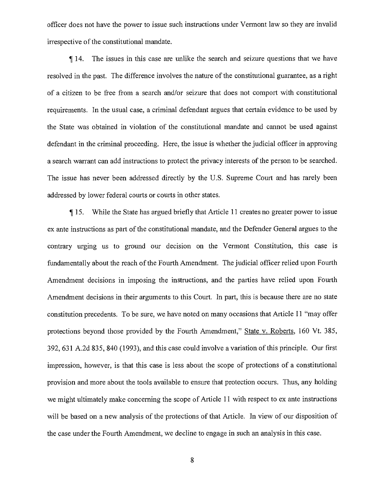officer does not have the power to issue such instructions under Vermont law so they are invalid irrespective of the constitutional mandate.

14. The issues in this case are unlike the search and seizure questions that we have resolved in the past. The difference involves the nature of the constitutional guarantee, as a right of a citizen to be free from a search and/or seizure that does not comport with constitutional requirements. In the usual case, a criminal defendant argues that certain evidence to be used by the State was obtained in violation of the constitutional mandate and cannot be used against defendant in the criminal proceeding. Here, the issue is whether the judicial officer in approving a search warrant can add instructions to protect the privacy interests of the person to be searched. The issue has never been addressed directly by the U.S. Supreme Court and has rarely been addressed by lower federal courts or courts in other states.

15. While the State has argued briefly that Article 11 creates no greater power to issue ex ante instructions as part of the constitutional mandate, and the Defender General argues to the contrary urging us to ground our decision on the Vermont Constitution, this case is fundamentally about the reach of the Fourth Amendment. The judicial officer relied upon Fourth Amendment decisions in imposing the instructions, and the parties have relied upon Fourth Amendment decisions in their arguments to this Court. In part, this is because there are no state constitution precedents. To be sure, we have noted on many occasions that Article 11 "may offer protections beyond those provided by the Fourth Amendment," State v. Roberts, 160 Vt. 385, 392, 631 A.2d 835, 840 (1993), and this case could involve a variation of this principle. Our first impression, however, is that this case is less about the scope of protections of a constitutional provision and more about the tools available to ensure that protection occurs. Thus, any holding we might ultimately make concerning the scope of Article 11 with respect to ex ante instructions will be based on a new analysis of the protections of that Article. In view of our disposition of the case under the Fourth Amendment, we decline to engage in such an analysis in this case.

8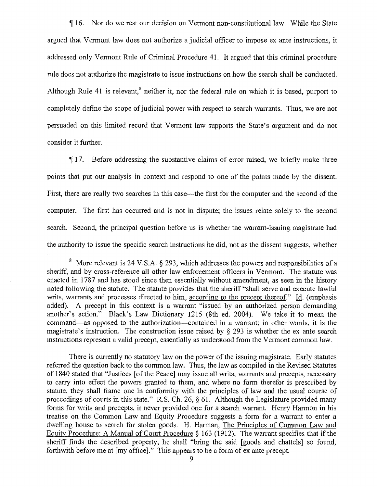$\P$ 16. Nor do we rest our decision on Vermont non-constitutional law. While the State argued that Vermont law does not authorize a judicial officer to impose ex ante instructions, it addressed only Vermont Rule of Criminal Procedure 41. It argued that this criminal procedure rule does not authorize the magistrate to issue instructions on how the search shall be conducted. Although Rule 41 is relevant, $\delta$  neither it, nor the federal rule on which it is based, purport to completely define the scope of judicial power with respect to search warrants. Thus, we are not persuaded on this limited record that Vermont law supports the State's argument and do not consider it further.

If 17. Before addressing the substantive claims of error raised, we briefly make three points that put our analysis in context and respond to one of the points made by the dissent. First, there are really two searches in this ease—the first for the computer and the second of the computer. The first has occurred and is not in dispute; the issues relate solely to the second search. Second, the principal question before us is whether the warrant-issuing. magistrate had the authority to issue the specific search instructions he did, not as the dissent suggests, whether

<sup>&</sup>lt;sup>8</sup> More relevant is 24 V.S.A.  $\S$  293, which addresses the powers and responsibilities of a sheriff, and by cross-reference all other law enforcement officers in Vermont. The statute was enacted in 1787 and has stood since then essentially without amendment, as seen in the history noted following the statute. The statute provides that the sheriff "shall serve and execute lawful writs, warrants and processes directed to him, according to the precept thereof." Id. (emphasis added). A precept in this context is a warrant "issued by an authorized person demanding another's action." Black's Law Dictionary 1215 (8th ed. 2004). We take it to mean the command—as opposed to the authorization—contained in a warrant; in other words, it is the magistrate's instruction. The construction issue raised by  $\S$  293 is whether the ex ante search instructions represent a valid precept, essentially as understood from the Vermont common law.

There is currently no statutory law on the power of the issuing magistrate. Early statutes referred the question back to the common law. Thus, the law as compiled in the Revised Statutes of 1840 stated that "Justices [of the Peace] may issue all writs, warrants and precepts, necessary to carry into effect the powers granted to them, and where no form therefor is prescribed by statute, they shall frame one in conformity with the principles of law and the usual course of proceedings of courts in this state." R.S. Ch. 26, § 61. Although the Legislature provided many forms for writs and precepts, it never provided one for a search warrant. Henry Harmon in his treatise on the Common Law and Equity Procedure suggests a form for a warrant to enter a dwelling house to search for stolen goods. H. Harman, The Principles of Common Law and Equity Procedure: A Manual of Court Procedure § 163 (1912). The warrant specifies that if the sheriff finds the described property, he shall "bring the said [goods and chattels] so found, forthwith before me at [my office]." This appears to be a form of ex ante precept.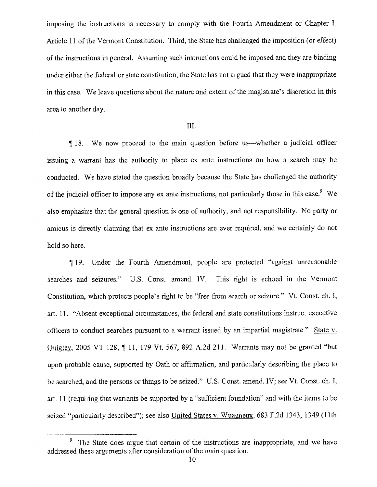imposing the instructions is necessary to comply with the Fourth Amendment or Chapter I, Article 11 of the Vermont Constitution. Third, the State has challenged the imposition (or effect) of the instructions in general. Assuming such instructions could be imposed and they are binding under either the federal or state constitution, the State has not argued that they were inappropriate in this case. We leave questions about the nature and extent of the magistrate's discretion in this area to another day.

#### III.

1118. We now proceed to the main question before us—whether a judicial officer issuing a warrant has the authority to place ex ante instructions on how a search may be conducted. We have stated the question broadly because the State has challenged the authority of the judicial officer to impose any ex ante instructions, not particularly those in this case.<sup>9</sup> We also emphasize that the general question is one of authority, and not responsibility. No party or amicus is directly claiming that ex ante instructions are ever required, and we certainly do not hold so here.

19. Under the Fourth Amendment, people are protected "against unreasonable searches and seizures." U.S. Const. amend. IV. This right is echoed in the Vermont Constitution, which protects people's right to be "free from search or seizure." Vt. Const. ch. I, art. 11. "Absent exceptional circumstances, the federal and state constitutions instruct executive officers to conduct searches pursuant to a warrant issued by an impartial magistrate." State v. Quigley, 2005 VT 128, 11, 179 Vt. 567, 892 A.2d 211. Warrants may not be granted "but upon probable cause, supported by Oath or affirmation, and particularly describing the place to be searched, and the persons or things to be seized." U.S. Const. amend. IV; see Vt. Const. ch. I, art. 11 (requiring that warrants be supported by a "sufficient foundation" and with the items to be seized "particularly described"); see also United States v. Wuagneux, 683 F.2d 1343, 1349 (11th

The State does argue that certain of the instructions are inappropriate, and we have addressed these arguments after consideration of the main question.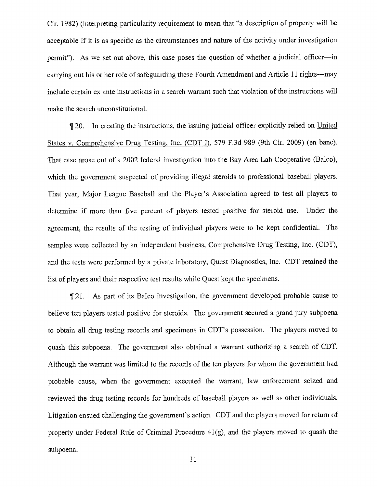Cir. 1982) (interpreting particularity requirement to mean that "a description of property will be acceptable if it is as specific as the circumstances and nature of the activity under investigation permit"). As we set out above, this case poses the question of whether a judicial officer—in carrying out his or her role of safeguarding these Fourth Amendment and Article 11 rights—may include certain ex ante instructions in a search warrant such that violation of the instructions will make the search unconstitutional.

1120. In creating the instructions, the issuing judicial officer explicitly relied on United States v. Comprehensive Drug Testing, Inc. (CDT I), 579 F.3d 989 (9th Cir. 2009) (en bane). That case arose out of a 2002 federal investigation into the Bay Area Lab Cooperative (Balco), which the government suspected of providing illegal steroids to professional baseball players. That year, Major League Baseball and the Player's Association agreed to test all players to determine if more than five percent of players tested positive for steroid use. Under the agreement, the results of the testing of individual players were to be kept confidential. The samples were collected by an independent business, Comprehensive Drug Testing, Inc. (CDT), and the tests were performed by a private laboratory, Quest Diagnostics, Inc. CDT retained the list of players and their respective test results while Quest kept the specimens.

21. As part of its Balco investigation, the government developed probable cause to believe ten players tested positive for steroids. The government secured a grand jury subpoena to obtain all drug testing records and specimens in CDT's possession. The players moved to quash this subpoena. The government also obtained a warrant authorizing a search of CDT. Although the warrant was limited to the records of the ten players for whom the government had probable cause, when the government executed the warrant, law enforcement seized and reviewed the drug testing records for hundreds of baseball players as well as other individuals. Litigation ensued challenging the government's action. CDT and the players moved for return of property under Federal Rule of Criminal Procedure 41(g), and the players moved to quash the subpoena.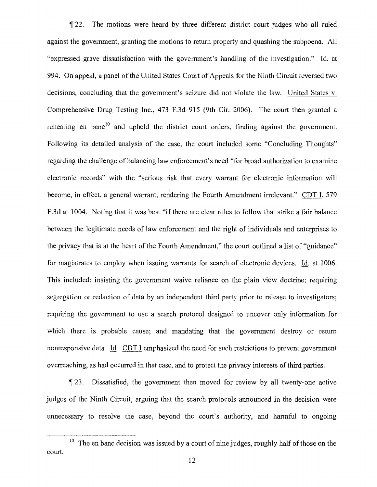22. The motions were heard by three different district court judges who all ruled against the government, granting the motions to return property and quashing the subpoena. All "expressed grave dissatisfaction with the government's handling of the investigation." Id. at 994. On appeal, a panel of the United States Court of Appeals for the Ninth Circuit reversed two decisions, concluding that the government's seizure did not violate the law. United States v Comprehensive Drug Testing Inc., 473 F.3d 915 (9th Cir. 2006). The court then granted a rehearing en banc<sup>10</sup> and upheld the district court orders, finding against the government. Following its detailed analysis of the case, the court included some "Concluding Thoughts" regarding the challenge of balancing law enforcement's need "for broad authorization to examine electronic records" with the "serious risk that every warrant for electronic information will become, in effect, a general warrant, rendering the Fourth Amendment irrelevant." CDT I, 579 F.3d at 1004. Noting that it was best "if there are clear rules to follow that strike a fair balance between the legitimate needs of law enforcement and the right of individuals and enterprises to the privacy that is at the heart of the Fourth Amendment," the court outlined a list of "guidance" for magistrates to employ when issuing warrants for search of electronic devices. Id. at 1006. This included: insisting the government waive reliance on the plain view doctrine; requiring segregation or redaction of data by an independent third party prior to release to investigators; requiring the government to use a search protocol designed to uncover only information for which there is probable cause; and mandating that the government destroy or return nonresponsive data. Id. CDT I emphasized the need for such restrictions to prevent government overreaching, as had occurred in that case, and to protect the privacy interests of third parties.

1 23. Dissatisfied, the government then moved for review by all twenty-one active judges of the Ninth Circuit, arguing that the search protocols announced in the decision were unnecessary to resolve the case, beyond the court's authority, and harmful to ongoing

<sup>&</sup>lt;sup>10</sup> The en bane decision was issued by a court of nine judges, roughly half of those on the court.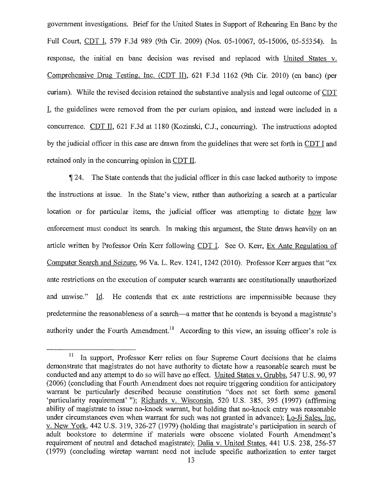government investigations. Brief for the United States in Support of Rehearing En Banc by the Full Court, CDT I, 579 F.3d 989 (9th Cir. 2009) (Nos. 05-10067, 05-15006, 05-55354). In response, the initial en bane decision was revised and replaced with United States v. Comprehensive Drug Testing, Inc. (CDT II), 621 F.3d 1162 (9th Cir. 2010) (en banc) (per curiam). While the revised decision retained the substantive analysis and legal outcome of CDT L the guidelines were removed from the per curiam opinion, and instead were included in a concurrence. CDT II, 621 F.3d at 1180 (Kozinski, C.J., concurring). The instructions adopted by the judicial officer in this case are drawn from the guidelines that were set forth in CDT I and retained only in the concurring opinion in CDT IL

 $\P$  24. The State contends that the judicial officer in this case lacked authority to impose the instructions at issue. In the State's view, rather than authorizing a search at a particular location or for particular items, the judicial officer was attempting to dictate how law enforcement must conduct its search. In making this argument, the State draws heavily on an article written by Professor Orin Kerr following CDT I. See 0. Kerr, Ex Ante Regulation of Computer Search and Seizure, 96 Va. L. Rev. 1241, 1242 (2010). Professor Kerr argues that "ex ante restrictions on the execution of computer search warrants are constitutionally unauthorized and unwise." Id. He contends that ex ante restrictions are impermissible because they predetermine the reasonableness of a search—a matter that he contends is beyond a magistrate's authority under the Fourth Amendment.<sup>11</sup> According to this view, an issuing officer's role is

 $\mathbf{11}$ In support, Professor Kerr relies on four Supreme Court decisions that he claims demonstrate that magistrates do not have authority to dictate how a reasonable search must be conducted and any attempt to do so will have no effect. United States v. Grubbs, 547 U.S. 90, 97 (2006) (concluding that Fourth Amendment does not require triggering condition for anticipatory warrant be particularly described because constitution "does not set forth some general `particularity requirement' "); Richards v. Wisconsin, 520 U.S. 385, 395 (1997) (affirming ability of magistrate to issue no-knock warrant, but holding that no-knock entry was reasonable under circumstances even when warrant for such was not granted in advance); Lo-Ji Sales, Inc. v. New York, 442 U.S. 319, 326-27 (1979) (holding that magistrate's participation in search of adult bookstore to determine if materials were obscene violated Fourth Amendment's requirement of neutral and detached magistrate); Dalia v. United States, 441 U.S. 238, 256-57 (1979) (concluding wiretap warrant need not include specific authorization to enter target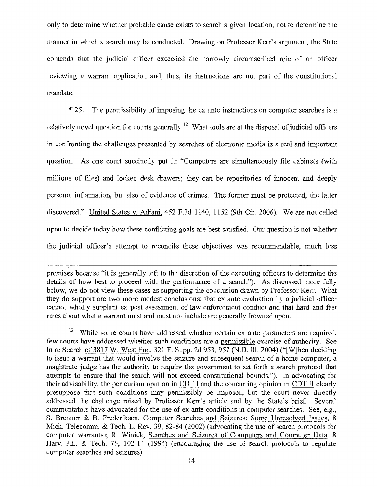only to determine whether probable cause exists to search a given location, not to determine the manner in which a search may be conducted. Drawing on Professor Kerr's argument, the State contends that the judicial officer exceeded the narrowly circumscribed role of an officer reviewing a warrant application and, thus, its instructions are not part of the constitutional mandate.

fl[ 25. The permissibility of imposing the ex ante instructions on computer searches is a relatively novel question for courts generally.<sup>12</sup> What tools are at the disposal of judicial officers in confronting the challenges presented by searches of electronic media is a real and important question. As one court succinctly put it: "Computers are simultaneously file cabinets (with millions of files) and locked desk drawers; they can be repositories of innocent and deeply personal information, but also of evidence of crimes. The former must be protected, the latter discovered." United States v. Adjani, 452 F.3d 1140, 1152 (9th Cir. 2006). We are not called upon to decide today how these conflicting goals are best satisfied. Our question is not whether the judicial officer's attempt to reconcile these objectives was recommendable, much less

premises because "it is generally left to the discretion of the executing officers to determine the details of how best to proceed with the performance of a search"). As discussed more fully below, we do not view these cases as supporting the conclusion drawn by Professor Kerr. What they do support are two more modest conclusions: that ex ante evaluation by a judicial officer cannot wholly supplant ex post assessment of law enforcement conduct and that hard and fast rules about what a warrant must and must not include are generally frowned upon.

<sup>&</sup>lt;sup>12</sup> While some courts have addressed whether certain ex ante parameters are required, few courts have addressed whether such conditions are a permissible exercise of authority. See In re Search of 3817 W. West End, 321 F. Supp. 2d 953, 957 (N.D. Ill. 2004) ("[W]hen deciding to issue a warrant that would involve the seizure and subsequent search of a home computer, a magistrate judge has the authority to require the government to set forth a search protocol that attempts to ensure that the search will not exceed constitutional bounds."). In advocating for their advisability, the per curiam opinion in CDT I and the concurring opinion in CDT II clearly presuppose that such conditions may permissibly be imposed, but the court never directly addressed the challenge raised by Professor Kerr's article and by the State's brief. Several commentators have advocated for the use of ex ante conditions in computer searches. See, e.g., S. Brenner & B. Frederiksen, Computer Searches and Seizures: Some Unresolved Issues, 8 Mich. Telecomm. & Tech. L. Rev. 39, 82-84 (2002) (advocating the use of search protocols for computer warrants); R. Winick, Searches and Seizures of Computers and Computer Data, 8 Harv. J.L. & Tech. 75, 102-14 (1994) (encouraging the use of search protocols to regulate computer searches and seizures).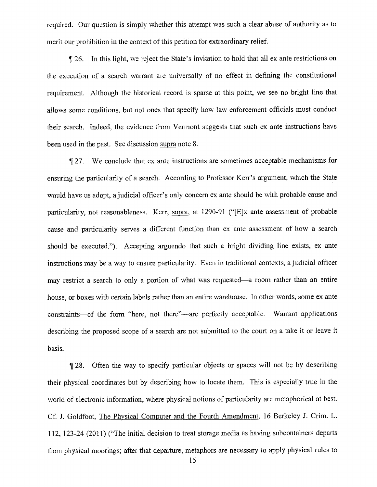required. Our question is simply whether this attempt was such a clear abuse of authority as to merit our prohibition in the context of this petition for extraordinary relief.

If 26. In this light, we reject the State's invitation to hold that all ex ante restrictions on the execution of a search warrant are universally of no effect in defining the constitutional requirement. Although the historical record is sparse at this point, we see no bright line that allows some conditions, but not ones that specify how law enforcement officials must conduct their search. Indeed, the evidence from Vermont suggests that such ex ante instructions have been used in the past. See discussion supra note 8.

¶ 27. We conclude that ex ante instructions are sometimes acceptable mechanisms for ensuring the particularity of a search. According to Professor Kerr's argument, which the State would have us adopt, a judicial officer's only concern ex ante should be with probable cause and particularity, not reasonableness. Kerr, supra, at 1290-91 ("[E]x ante assessment of probable cause and particularity serves a different function than ex ante assessment of how a search should be executed."). Accepting arguendo that such a bright dividing line exists, ex ante instructions may be a way to ensure particularity. Even in traditional contexts, a judicial officer may restrict a search to only a portion of what was requested—a room rather than an entire house, or boxes with certain labels rather than an entire warehouse. In other words, some ex ante constraints—of the form "here, not there"—are perfectly acceptable. Warrant applications describing the proposed scope of a search are not submitted to the court on a take it or leave it basis.

28. Often the way to specify particular objects or spaces will not be by describing their physical coordinates but by describing how to locate them. This is especially true in the world of electronic information, where physical notions of particularity are metaphorical at best. Cf. J. Goldfoot, The Physical Computer and the Fourth Amendment, 16 Berkeley J. Crim. L. 112, 123-24 (2011) ("The initial decision to treat storage media as having subcontainers departs from physical moorings; after that departure, metaphors are necessary to apply physical rules to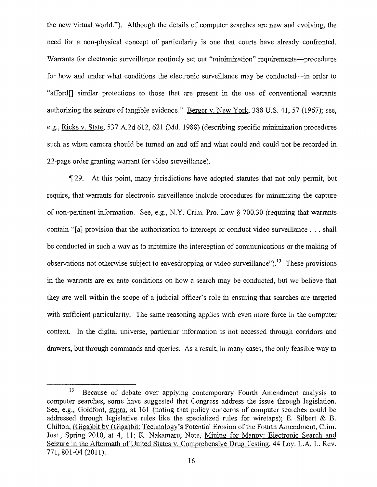the new virtual world."). Although the details of computer searches are new and evolving, the need for a non-physical concept of particularity is one that courts have already confronted. Warrants for electronic surveillance routinely set out "minimization" requirements—procedures for how and under what conditions the electronic surveillance may be conducted—in order to "afford[] similar protections to those that are present in the use of conventional warrants authorizing the seizure of tangible evidence." Berger v. New York, 388 U.S. 41, 57 (1967); see, e.g., Ricks v. State, 537 A.2d 612, 621 (Md. 1988) (describing specific minimization procedures such as when camera should be turned on and off and what could and could not be recorded in 22-page order granting warrant for video surveillance).

29. At this point, many jurisdictions have adopted statutes that not only permit, but require, that warrants for electronic surveillance include procedures for minimizing the capture of non-pertinent information. See, e.g., N.Y. Crim. Pro. Law § 700.30 (requiring that warrants contain "[a] provision that the authorization to intercept or conduct video surveillance . . . shall be conducted in such a way as to minimize the interception of communications or the making of observations not otherwise subject to eavesdropping or video surveillance").<sup>13</sup> These provisions in the warrants are ex ante conditions on how a search may be conducted, but we believe that they are well within the scope of a judicial officer's role in ensuring that searches are targeted with sufficient particularity. The same reasoning applies with even more force in the computer context. In the digital universe, particular information is not accessed through corridors and drawers, but through commands and queries. As a result, in many cases, the only feasible way to

 $13$  Because of debate over applying contemporary Fourth Amendment analysis to computer searches, some have suggested that Congress address the issue through legislation. See, e.g., Goldfoot, supra, at 161 (noting that policy concerns of computer searches could be addressed through legislative rules like the specialized rules for wiretaps); E. Silbert & B. Chilton, (Giga)bit by (Giga)bit: Technology's Potential Erosion of the Fourth Amendment, Crim. Just., Spring 2010, at 4, 11; K. Nakamaru, Note, Mining for Manny: Electronic Search and Seizure in the Aftermath of United States v. Comprehensive Drug Testing, 44 Loy. L.A. L. Rev. 771, 801-04 (2011).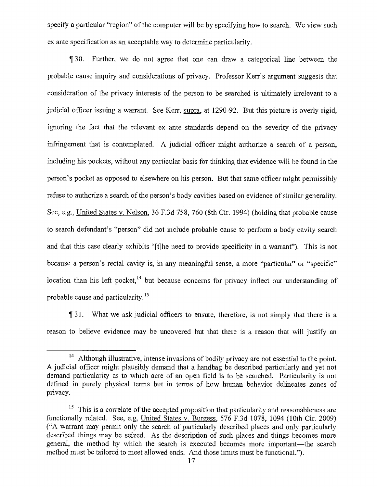specify a particular "region" of the computer will be by specifying how to search. We view such ex ante specification as an acceptable way to determine particularity.

¶ 30. Further, we do not agree that one can draw a categorical line between the probable cause inquiry and considerations of privacy. Professor Kerr's argument suggests that consideration of the privacy interests of the person to be searched is ultimately irrelevant to a judicial officer issuing a warrant. See Kerr, supra, at 1290-92. But this picture is overly rigid, ignoring the fact that the relevant ex ante standards depend on the severity of the privacy infringement that is contemplated. A judicial officer might authorize a search of a person, including his pockets, without any particular basis for thinking that evidence will be found in the person's pocket as opposed to elsewhere on his person. But that same officer might permissibly refuse to authorize a search of the person's body cavities based on evidence of similar generality. See, e.g., United States v. Nelson, 36 F.3d 758, 760 (8th Cir. 1994) (holding that probable cause to search defendant's "person" did not include probable cause to perform a body cavity search and that this case clearly exhibits "[t]he need to provide specificity in a warrant"). This is not because a person's rectal cavity is, in any meaningful sense, a more "particular" or "specific" location than his left pocket,<sup>14</sup> but because concerns for privacy inflect our understanding of probable cause and particularity. <sup>15</sup>

31. What we ask judicial officers to ensure, therefore, is not simply that there is a reason to believe evidence may be uncovered but that there is a reason that will justify an

<sup>&</sup>lt;sup>14</sup> Although illustrative, intense invasions of bodily privacy are not essential to the point. A judicial officer might plausibly demand that a handbag be described particularly and yet not demand particularity as to which acre of an open field is to be searched. Particularity is not defined in purely physical terms but in terms of how human behavior delineates zones of privacy.

 $15$  This is a correlate of the accepted proposition that particularity and reasonableness are functionally related. See, e.g, United States v. Burgess, 576 F.3d 1078, 1094 (10th Cir. 2009) ("A warrant may permit only the search of particularly described places and only particularly described things may be seized. As the description of such places and things becomes more general, the method by which the search is executed becomes more important—the search method must be tailored to meet allowed ends. And those limits must be functional.").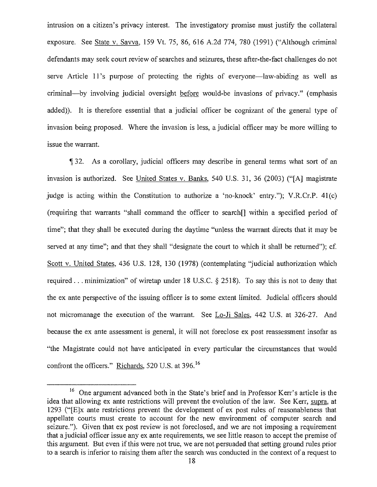intrusion on a citizen's privacy interest. The investigatory promise must justify the collateral exposure. See State v. Savva, 159 Vt. 75, 86, 616 A.2d 774, 780 (1991) ("Although criminal defendants may seek court review of searches and seizures, these after-the-fact challenges do not serve Article 11's purpose of protecting the rights of everyone—law-abiding as well as criminal—by involving judicial oversight before would-be invasions of privacy." (emphasis added)). It is therefore essential that a judicial officer be cognizant of the general type of invasion being proposed. Where the invasion is less, a judicial officer may be more willing to issue the warrant.

1132. As a corollary, judicial officers may describe in general terms what sort of an invasion is authorized. See United States v. Banks,  $540$  U.S.  $31$ ,  $36$  ( $2003$ ) ("[A] magistrate judge is acting within the Constitution to authorize a 'no-knock' entry."); V.R.Cr.P. 41(c) (requiring that warrants "shall command the officer to search[] within a specified period of time"; that they shall be executed during the daytime "unless the warrant directs that it may be served at any time"; and that they shall "designate the court to which it shall be returned"); cf. Scott v. United States, 436 U.S. 128, 130 (1978) (contemplating "judicial authorization which required . . . minimization" of wiretap under 18 U.S.C. § 2518). To say this is not to deny that the ex ante perspective of the issuing officer is to some extent limited. Judicial officers should not micromanage the execution of the warrant. See Lo-Ji Sales, 442 U.S. at 326-27. And because the ex ante assessment is general, it will not foreclose ex post reassessment insofar as "the Magistrate could not have anticipated in every particular the circumstances that would confront the officers." Richards, 520 U.S. at 396.<sup>16</sup>

<sup>&</sup>lt;sup>16</sup> One argument advanced both in the State's brief and in Professor Kerr's article is the idea that allowing ex ante restrictions will prevent the evolution of the law. See Kerr, supra, at 1293 ("[E]x ante restrictions prevent the development of ex post rules of reasonableness that appellate courts must create to account for the new environment of computer search and seizure."). Given that ex post review is not foreclosed, and we are not imposing a requirement that a judicial officer issue any ex ante requirements, we see little reason to accept the premise of this argument. But even if this were not true, we are not persuaded that setting ground rules prior to a search is inferior to raising them after the search was conducted in the context of a request to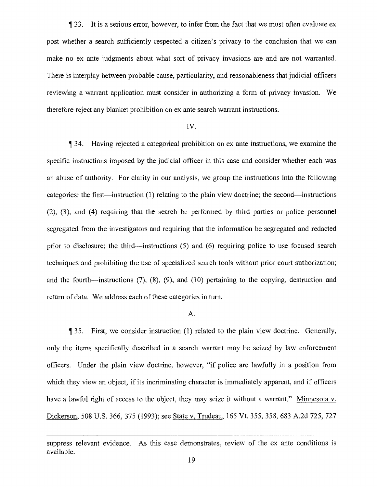33. It is a serious error, however, to infer from the fact that we must often evaluate ex post whether a search sufficiently respected a citizen's privacy to the conclusion that we can make no ex ante judgments about what sort of privacy invasions are and are not warranted. There is interplay between probable cause, particularity, and reasonableness that judicial officers reviewing a warrant application must consider in authorizing a form of privacy invasion. We therefore reject any blanket prohibition on ex ante search warrant instructions.

#### IV.

34. Having rejected a categorical prohibition on ex ante instructions, we examine the specific instructions imposed by the judicial officer in this case and consider whether each was an abuse of authority. For clarity in our analysis, we group the instructions into the following categories: the first—instruction (1) relating to the plain view doctrine; the second—instructions (2), (3), and (4) requiring that the search be performed by third parties or police personnel segregated from the investigators and requiring that the information be segregated and redacted prior to disclosure; the third—instructions (5) and (6) requiring police to use focused search techniques and prohibiting the use of specialized search tools without prior court authorization; and the fourth—instructions (7), (8), (9), and (10) pertaining to the copying, destruction and return of data. We address each of these categories in turn.

#### A.

35. First, we consider instruction (1) related to the plain view doctrine. Generally, only the items specifically described in a search warrant may be seized by law enforcement officers. Under the plain view doctrine, however, "if police are lawfully in a position from which they view an object, if its incriminating character is immediately apparent, and if officers have a lawful right of access to the object, they may seize it without a warrant." Minnesota v. Dickerson, 508 U.S. 366, 375 (1993); see State v. Trudeau, 165 Vt. 355, 358, 683 A.2d 725, 727

suppress relevant evidence. As this case demonstrates, review of the ex ante conditions is available.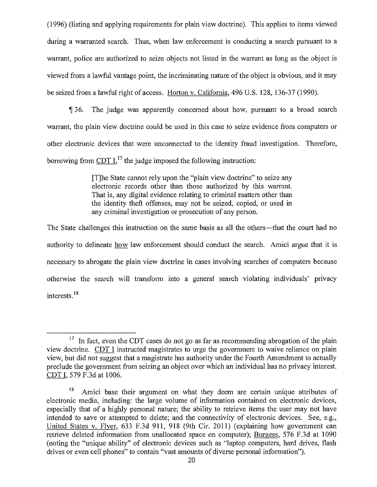{1996) (listing and applying requirements for plain view doctrine). This applies to items viewed during a warranted search. Thus, when law enforcement is conducting a search pursuant to a warrant, police are authorized to seize objects not listed in the warrant as long as the object is viewed from a lawful vantage point, the incriminating nature of the object is obvious, and it may be seized from a lawful right of access. Horton v. California, 496 U.S. 128, 136-37 (1990).

36. The judge was apparently concerned about how, pursuant to a broad search warrant, the plain view doctrine could be used in this case to seize evidence from computers or other electronic devices that were unconnected to the identity fraud investigation. Therefore, borrowing from  $CDT I$ ,<sup>17</sup> the judge imposed the following instruction:

> [T]he State cannot rely upon the "plain view doctrine" to seize any electronic records other than those authorized by this warrant. That is, any digital evidence relating to criminal matters other than the identity theft offenses, may not be seized, copied, or used in any criminal investigation or prosecution of any person.

The State challenges this instruction on the same basis as all the others—that the court had no authority to delineate how law enforcement should conduct the search. Amici argue that it is necessary to abrogate the plain view doctrine in cases involving searches of computers because otherwise the search will transform into a general search violating individuals' privacy interests.<sup>18</sup>

 $17$  In fact, even the CDT cases do not go as far as recommending abrogation of the plain view doctrine. CDT I instructed magistrates to urge the government to waive reliance on plain view, but did not suggest that a magistrate has authority under the Fourth Amendment to actually preclude the government from seizing an object over which an individual has no privacy interest. CDT I, 579 F.3d at 1006.

 $18$  Amici base their argument on what they deem are certain unique attributes of electronic media, including: the large volume of information contained on electronic devices, especially that of a highly personal nature; the ability to retrieve items the user may not have intended to save or attempted to delete; and the connectivity of electronic devices. See, e.g., United States v. Flyer, 633 F.3d 911, 918 (9th Cir. 2011) (explaining how government can retrieve deleted information from unallocated space on computer); Burgess, 576 F.3d at 1090 (noting the "unique ability" of electronic devices such as "laptop computers, hard drives, flash drives or even cell phones" to contain "vast amounts of diverse personal information").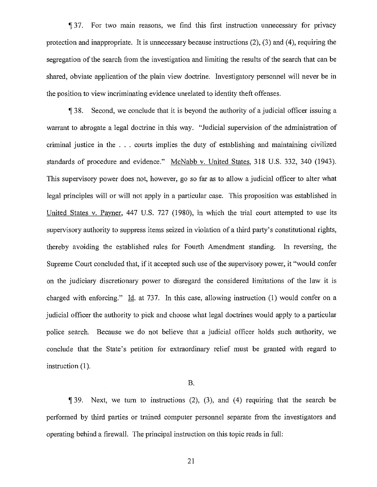¶ 37. For two main reasons, we find this first instruction unnecessary for privacy protection and inappropriate. It is unnecessary because instructions (2), (3) and (4), requiring the segregation of the search from the investigation and limiting the results of the search that can be shared, obviate application of the plain view doctrine. Investigatory personnel will never be in the position to view incriminating evidence unrelated to identity theft offenses.

38. Second, we conclude that it is beyond the authority of a judicial officer issuing a warrant to abrogate a legal doctrine in this way. "Judicial supervision of the administration of criminal justice in the ... courts implies the duty of establishing and maintaining civilized standards of procedure and evidence." McNabb v. United States, 318 U.S. 332, 340 (1943). This supervisory power does not, however, go so far as to allow a judicial officer to alter what legal principles will or will not apply in a particular case. This proposition was established in United States v. Payner, 447 U.S. 727 (1980), in which the trial court attempted to use its supervisory authority to suppress items seized in violation of a third party's constitutional rights, thereby avoiding the established rules for Fourth Amendment standing. In reversing, the Supreme Court concluded that, if it accepted such use of the supervisory power, it "would confer on the judiciary discretionary power to disregard the considered limitations of the law it is charged with enforcing." Id. at 737. In this case, allowing instruction (1) would confer on a judicial officer the authority to pick and choose what legal doctrines would apply to a particular police search. Because we do not believe that a judicial officer holds such authority, we conclude that the State's petition for extraordinary relief must be granted with regard to instruction (1).

#### B.

1139. Next, we turn to instructions  $(2)$ ,  $(3)$ , and  $(4)$  requiring that the search be performed by third parties or trained computer personnel separate from the investigators and operating behind a firewall. The principal instruction on this topic reads in full:

21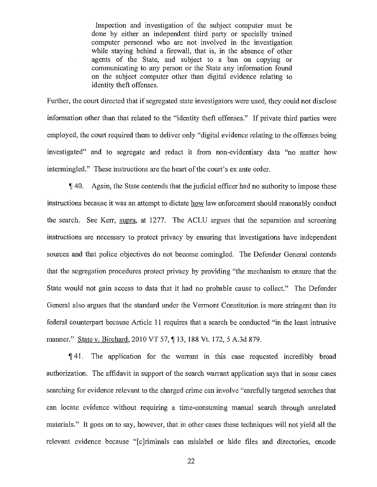Inspection and investigation of the subject computer must be done by either an independent third party or specially trained computer personnel who are not involved in the investigation while staying behind a firewall, that is, in the absence of other agents of the State, and subject to a ban on copying or communicating to any person or the State any information found on the subject computer other than digital evidence relating to identity theft offenses.

Further, the court directed that if segregated state investigators were used, they could not disclose information other than that related to the "identity theft offenses." If private third parties were employed, the court required them to deliver only "digital evidence relating to the offenses being investigated" and to segregate and redact it from non-evidentiary data "no matter how intermingled." These instructions are the heart of the court's ex ante order.

lj 40. Again, the State contends that the judicial officer had no authority to impose these instructions because it was an attempt to dictate how law enforcement should reasonably conduct the search. See Kerr, supra, at 1277. The ACLU argues that the separation and screening instructions are necessary to protect privacy by ensuring that investigations have independent sources and that police objectives do not become comingled. The Defender General contends that the segregation procedures protect privacy by providing "the mechanism to ensure that the State would not gain access to data that it had no probable cause to collect," The Defender General also argues that the standard under the Vermont Constitution is more stringent than its federal counterpart because Article 11 requires that a search be conducted "in the least intrusive manner." State v. Birchard, 2010 VT 57, ¶ 13, 188 Vt. 172, 5 A.3d 879.

¶ 41. The application for the warrant in this case requested incredibly broad authorization. The affidavit in support of the search warrant application says that in some cases searching for evidence relevant to the charged crime can involve "carefully targeted searches that can locate evidence without requiring a time-consuming manual search through unrelated materials." It goes on to say, however, that in other cases these techniques will not yield all the relevant evidence because "[c]riminals can mislabel or hide files and directories, encode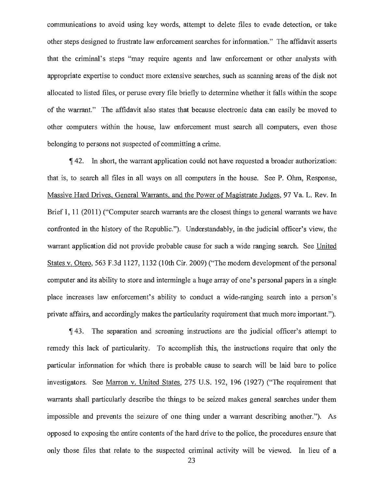communications to avoid using key words, attempt to delete files to evade detection, or take other steps designed to frustrate law enforcement searches for information." The affidavit asserts that the criminal's steps "may require agents and law enforcement or other analysts with appropriate expertise to conduct more extensive searches, such as scanning areas of the disk not allocated to listed files, or peruse every file briefly to determine whether it falls within the scope of the warrant." The affidavit also states that because electronic data can easily be moved to other computers within the house, law enforcement must search all computers, even those belonging to persons not suspected of committing a crime.

42. In short, the warrant application could not have requested a broader authorization: that is, to search all files in all ways on all computers in the house. See P. Ohm, Response, Massive Hard Drives, General Warrants, and the Power of Magistrate Judges, 97 Va. L. Rev. In Brief 1, 11 (2011) ("Computer search warrants are the closest things to general warrants we have confronted in the history of the Republic."). Understandably, in•the judicial officer's view, the warrant application did not provide probable cause for such a wide ranging search. See United States v. Otero, 563 F.3d 1127, 1132 (10th Cir. 2009) ("The modern development of the personal computer and its ability to store and intermingle a huge array of one's personal papers in a single place increases law enforcement's ability to conduct a wide-ranging search into a person's private affairs, and accordingly makes the particularity requirement that much more important.").

43. The separation and screening instructions are the judicial officer's attempt to remedy this lack of particularity. To accomplish this, the instructions require that only the particular information for which there is probable cause to search will be laid bare to police investigators. See Marron v. United States, 275 U.S. 192, 196 (1927) ("The requirement that warrants shall particularly describe the things to be seized makes general searches under them impossible and prevents the seizure of one thing under a warrant describing another."). As opposed to exposing the entire contents of the hard drive to the police, the procedures ensure that only those files that relate to the suspected criminal activity will be viewed. In lieu of a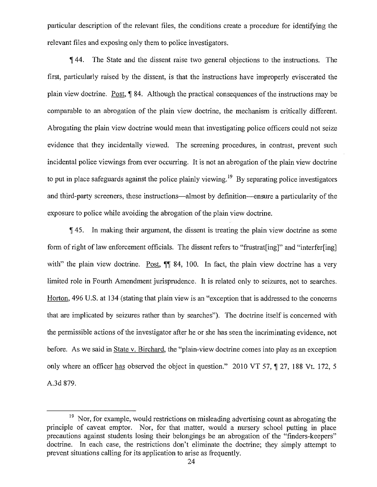particular description of the relevant files, the conditions create a procedure for identifying the relevant files and exposing only them to police investigators.

¶ 44. The State and the dissent raise two general objections to the instructions. The first, particularly raised by the dissent, is that the instructions have improperly eviscerated the plain view doctrine. Post,¶ 84. Although the practical consequences of the instructions may be comparable to an abrogation of the plain view doctrine, the mechanism is critically different. Abrogating the plain view doctrine would mean that investigating police officers could not seize evidence that they incidentally viewed. The screening procedures, in contrast, prevent such incidental police viewings from ever occurring. It is not an abrogation of the plain view doctrine to put in place safeguards against the police plainly viewing.<sup>19</sup> By separating police investigators and third-party screeners, these instructions—almost by definition—ensure a particularity of the exposure to police while avoiding the abrogation of the plain view doctrine.

¶ 45. In making their argument, the dissent is treating the plain view doctrine as some form of right of law enforcement officials. The dissent refers to "frustrat[ing]" and "interfer[ing] with" the plain view doctrine. Post,  $\P$  84, 100. In fact, the plain view doctrine has a very limited role in Fourth Amendment jurisprudence. It is related only to seizures, not to searches. Horton, 496 U.S. at 134 (stating that plain view is an "exception that is addressed to the concerns that are implicated by seizures rather than by searches"). The doctrine itself is concerned with the permissible actions of the investigator after he or she has seen the incriminating evidence, not before. As we said in State v. Birchard, the "plain-view doctrine comes into play as an exception only where an officer has observed the object in question." 2010 VT 57, ¶ 27, 188 Vt. 172, 5 A.3d 879.

 $19$  Nor, for example, would restrictions on misleading advertising count as abrogating the principle of caveat emptor. Nor, for that matter, would a nursery school putting in place precautions against students losing their belongings be an abrogation of the "finders-keepers" doctrine. In each case, the restrictions don't eliminate the doctrine; they simply attempt to prevent situations calling for its application to arise as frequently.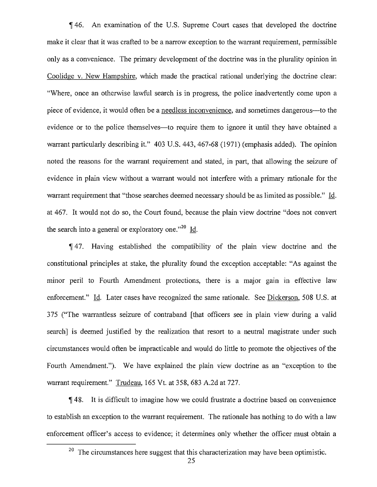¶ 46. An examination of the U.S. Supreme Court cases that developed the doctrine make it clear that it was crafted to be a narrow exception to the warrant requirement, permissible only as a convenience. The primary development of the doctrine was in the plurality opinion in Coolidge v. New Hampshire, which made the practical rational underlying the doctrine clear: "Where, once an otherwise lawful search is in progress, the police inadvertently come upon a piece of evidence, it would often be a needless inconvenience, and sometimes dangerous—to the evidence or to the police themselves—to require them to ignore it until they have obtained a warrant particularly describing it." 403 U.S. 443, 467-68 (1971) (emphasis added). The opinion noted the reasons for the warrant requirement and stated, in part, that allowing the seizure of evidence in plain view without a warrant would not interfere with a primary rationale for the warrant requirement that "those searches deemed necessary should be as limited as possible." Id. at 467. It would not do so, the Court found, because the plain view doctrine "does not convert the search into a general or exploratory one. $^{20}$  Id.

II 47. Having established the compatibility of the plain view doctrine and the constitutional principles at stake, the plurality found the exception acceptable: "As against the minor peril to Fourth Amendment protections, there is a major gain in effective law enforcement." Id. Later cases have recognized the same rationale. See Dickerson, 508 U.S. at 375 ("The warrantless seizure of contraband [that officers see in plain view during a valid search] is deemed justified by the realization that resort to a neutral magistrate under such circumstances would often be impracticable and would do little to promote the objectives of the Fourth Amendment."). We have explained the plain view doctrine as an "exception to the warrant requirement." Trudeau, 165 Vt. at 358, 683 A.2d at 727.

48. It is difficult to imagine how we could frustrate a doctrine based on convenience to establish an exception to the warrant requirement. The rationale has nothing to do with a law enforcement officer's access to evidence; it determines only whether the officer must obtain a

 $20$  The circumstances here suggest that this characterization may have been optimistic.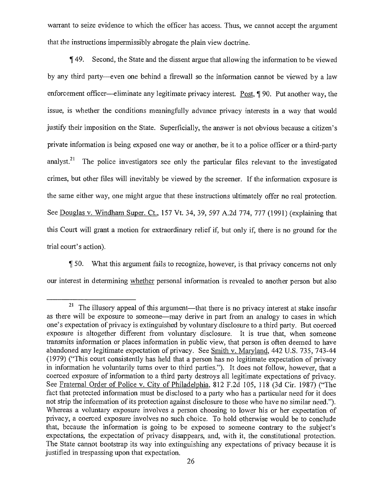warrant to seize evidence to which the officer has access. Thus, we cannot accept the argument that the instructions impermissibly abrogate the plain view doctrine\_

1( 49. Second, the State and the dissent argue that allowing the information to be viewed by any third party—even one behind a firewall so the information cannot be viewed by a law enforcement officer—eliminate any legitimate privacy interest. Post, ¶ 90. Put another way, the issue, is whether the conditions meaningfully advance privacy interests in a way that would justify their imposition on the State. Superficially, the answer is not obvious because a citizen's private information is being exposed one way or another, be it to a police officer or a third-party analyst.<sup>21</sup> The police investigators see only the particular files relevant to the investigated crimes, but other files will inevitably be viewed by the screener. If the information exposure is the same either way, one might argue that these instructions ultimately offer no real protection. See Douglas v. Windham Super. Ct., 157 Vt. 34, 39, 597 A.2d 774, 777 (1991) (explaining that this Court will grant a motion for extraordinary relief if, but only if, there is no ground for the trial court's action).

50. What this argument fails to recognize, however, is that privacy concerns not only our interest in determining whether personal information is revealed to another person but also

 $21$  The illusory appeal of this argument—that there is no privacy interest at stake insofar as there will be exposure to someone—may derive in part from an analogy to cases in which one's expectation of privacy is extinguished by voluntary disclosure to a third party. But coerced exposure is altogether different from voluntary disclosure. It is true that, when someone transmits information or places information in public view, that person is often deemed to have abandoned any legitimate expectation of privacy. See Smith v. Maryland, 442 U.S. 735, 743-44 (1979) ("This court consistently has held that a person has no legitimate expectation of privacy in information he voluntarily turns over to third parties."). It does not follow, however, that a coerced exposure of information to a third party destroys all legitimate expectations of privacy. See Fraternal Order of Police v. City of Philadelphia, 812 F.2d 105, 118 (3d Cir. 1987) ("The fact that protected information must be disclosed to a party who has a particular need for it does not strip the information of its protection against disclosure to those who have no similar need."). Whereas a voluntary exposure involves a person choosing to lower his or her expectation of privacy, a coerced exposure involves no such choice. To hold otherwise would be to conclude that, because the information is going to be exposed to someone contrary to the subject's expectations, the expectation of privacy disappears, and, with it, the constitutional protection. The State cannot bootstrap its way into extinguishing any expectations of privacy because it is justified in trespassing upon that expectation.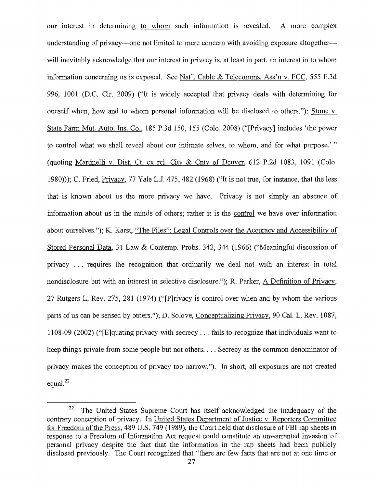our interest in determining to whom such information is revealed. A more complex understanding of privacy—one not limited to mere concern with avoiding exposure altogether will inevitably acknowledge that our interest in privacy is, at least in part, an interest in to whom information concerning us is exposed. See Nat'l Cable & Telecomms. Ass'n v. FCC, 555 F.3d 996, 1001 (D.C. Cir. 2009) ("It is widely accepted that privacy deals with determining for oneself when, how and to whom personal information will be disclosed to others."); Stone v. State Farm Mut. Auto. Ins. Co., 185 P.3d 150, 155 (Colo. 2008) ("[Privacy] includes the power to control what we shall reveal about our intimate selves, to whom, and for what purpose.' " (quoting Martinelli v. Dist. Ct. ex rel. City & Cnty of Denver, 612 P.2d 1083, 1091 (Colo. 1980))); C. Fried, Privacy, 77 Yale L.J. 475, 482 (1968) ("It is not true, for instance, that the less that is known about us the more privacy we have. Privacy is not simply an absence of information about us in the minds of others; rather it is the control we have over information about ourselves."); K. Karst, "The Files": Legal Controls over the Accuracy and Accessibility of Stored Personal Data, 31 Law & Contemp. Probs. 342, 344 (1966) ("Meaningful discussion of privacy ... requires the recognition that ordinarily we deal not with an interest in total nondisclosure but with an interest in selective disclosure."); R. Parker, A Definition of Privacy, 27 Rutgers L. Rev. 275, 281 (1974) ("[P]rivacy is control over when and by whom the various parts of us can be sensed by others."); D. Solove, Conceptualizing Privacy, 90 Cal. L. Rev. 1087, 1108-09 (2002) ("[E]quating privacy with secrecy ... fails to recognize that individuals want to keep things private from some people but not others. . . Secrecy as the common denominator of privacy makes the conception of privacy too narrow."). In short, all exposures are not created equal.<sup>22</sup>

<sup>&</sup>lt;sup>22</sup> The United States Supreme Court has itself acknowledged the inadequacy of the contrary conception of privacy. In United States Department of Justice v. Reporters Committee for Freedom of the Press, 489 U.S. 749 (1989), the Court held that disclosure of FBI rap sheets in response to a Freedom of Information Act request could constitute an unwarranted invasion of personal privacy despite the fact that the information in the rap sheets had been publicly disclosed previously. The Court recognized that "there are few facts that are not at one time or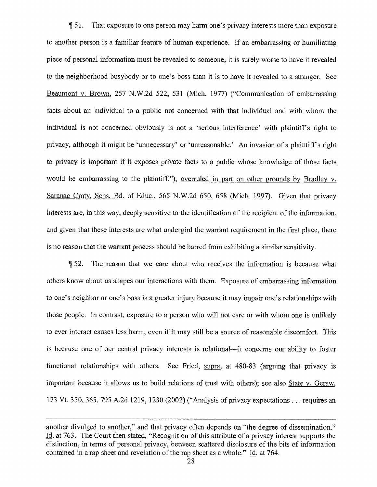51. That exposure to one person may harm one's privacy interests more than exposure to another person is a familiar feature of human experience. If an embarrassing or humiliating piece of personal information must be revealed to someone, it is surely worse to have it revealed to the neighborhood busybody or to one's boss than it is to have it revealed to a stranger. See Beaumont v. Brown, 257 N.W.2d 522, 531 (Mich. 1977) ("Communication of embarrassing facts about an individual to a public not concerned with that individual and with whom the individual is not concerned obviously is not a 'serious interference' with plaintiff's right to privacy, although it might be 'unnecessary' or 'unreasonable.' An invasion of a plaintiff's right to privacy is important if it exposes private facts to a public whose knowledge of those facts would be embarrassing to the plaintiff."), overruled in part on other grounds by Bradley v. Saranac Cmty. Schs. Bd. of Educ., 565 N.W.2d 650, 658 (Mich. 1997). Given that privacy interests are, in this way, deeply sensitive to the identification of the recipient of the information, and given that these interests are what undergird the warrant requirement in the first place, there is no reason that the warrant process should be barred from exhibiting a similar sensitivity.

1152. The reason that we care about who receives the information is because what others know about us shapes our interactions with them. Exposure of embarrassing information to one's neighbor or one's boss is a greater injury because it may impair one's relationships with those people. In contrast, exposure to a person who will not care or with whom one is unlikely to ever interact causes less harm, even if it may still be a source of reasonable discomfort. This is because one of our central privacy interests is relational—it concerns our ability to foster functional relationships with others. See Fried, supra, at 480-83 (arguing that privacy is important because it allows us to build relations of trust with others); see also State v. Geraw, 173 Vt. 350, 365, 795 A.2d 1219, 1230 (2002) ("Analysis of privacy expectations . . . requires an

another divulged to another," and that privacy often depends on "the degree of dissemination." Id. at 763. The Court then stated, "Recognition of this attribute of a privacy interest supports the distinction, in terms of personal privacy, between scattered disclosure of the bits of information contained in a rap sheet and revelation of the rap sheet as a whole." Id. at 764.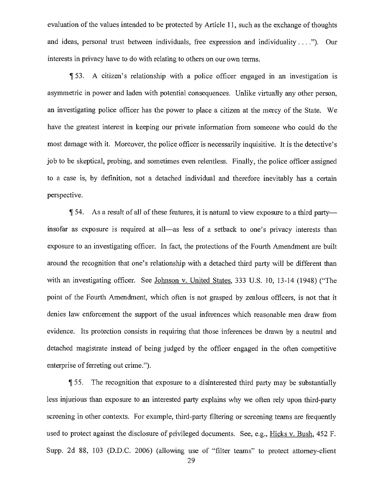evaluation of the values intended to be protected by Article 11, such as the exchange of thoughts and ideas, personal trust between individuals, free expression and individuality . .."). Our interests in privacy have to do with relating to others on our own terms.

53. A citizen's relationship with a police officer engaged in an investigation is asymmetric in power and laden with potential consequences. Unlike virtually any other person, an investigating police officer has the power to place a citizen at the mercy of the State. We have the greatest interest in keeping our private information from someone who could do the most damage with it. Moreover, the police officer is necessarily inquisitive. It is the detective's job to be skeptical, probing, and sometimes even relentless. Finally, the police officer assigned to a case is, by definition, not a detached individual and therefore inevitably has a certain perspective.

¶ 54. As a result of all of these features, it is natural to view exposure to a third party insofar as exposure is required at all—as less of a setback to one's privacy interests than exposure to an investigating officer. In fact, the protections of the Fourth Amendment are built around the recognition that one's relationship with a detached third party will be different than with an investigating officer. See Johnson v. United States, 333 U.S. 10, 13-14 (1948) ("The point of the Fourth Amendment, which often is not grasped by zealous officers, is not that it denies law enforcement the support of the usual inferences which reasonable men draw from evidence. Its protection consists in requiring that those inferences be drawn by a neutral and detached magistrate instead of being judged by the officer engaged in the often competitive enterprise of ferreting out crime.").

1155. The recognition that exposure to a disinterested third party may be substantially less injurious than exposure to an interested party explains why we often rely upon third-party screening in other contexts. For example, third-party filtering or screening teams are frequently used to protect against the disclosure of privileged documents. See, e.g., Hicks v. Bush, 452 F. Supp. 2d 88, 103 (D.D.C. 2006) (allowing use of "filter teams" to protect attorney-client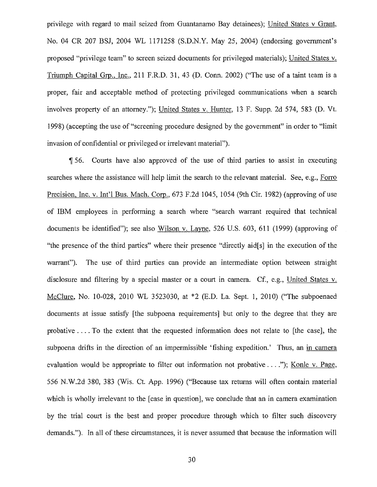privilege with regard to mail seized from Guantanamo Bay detainees); United States v Grant, No. 04 CR 207 BSJ, 2004 WL 1171258 (S.D.N.Y. May 25, 2004) (endorsing government's proposed "privilege team" to screen seized documents for privileged materials); United States v. Triumph Capital Grp., Inc., 211 F.R.D. 31, 43 (D. Conn. 2002) ("The use of a taint team is a proper, fair and acceptable method of protecting privileged communications when a search involves property of an attorney."); United States v. Hunter. 13 F. Supp. 2d 574, 583 (D. Vt. 1998) (accepting the use of "screening procedure designed by the government" in order to "limit invasion of confidential or privileged or irrelevant material").

¶ 56. Courts have also approved of the use of third parties to assist in executing searches where the assistance will help limit the search to the relevant material. See, e.g., Forro Precision, Inc. v. Int'l Bus. Mach. Corp., 673 F.2d 1045, 1054 (9th Cir. 1982) (approving of use of IBM employees in performing a search where "search warrant required that technical documents be identified"); see also Wilson v. Layne, 526 U.S. 603, 611 (1999) (approving of "the presence of the third parties" where their presence "directly aid[s] in the execution of the warrant"). The use of third parties can provide an intermediate option between straight disclosure and filtering by a special master or a court in camera. Cf., e.g., United States v. McClure, No. 10-028, 2010 WL 3523030, at \*2 (ED. La. Sept. 1, 2010) ("The subpoenaed documents at issue satisfy [the subpoena requirements] but only to the degree that they are probative . . . To the extent that the requested information does not relate to [the case], the subpoena drifts in the direction of an impermissible 'fishing expedition.' Thus, an in camera evaluation would be appropriate to filter out information not probative . . . ."); Konle v. Page, 556 N.W.2d 380, 383 (Wis. Ct. App. 1996) ("Because tax returns will often contain material which is wholly irrelevant to the [case in question], we conclude that an in camera examination by the trial court is the best and proper procedure through which to filter such discovery demands."). In all of these circumstances, it is never assumed that because the information will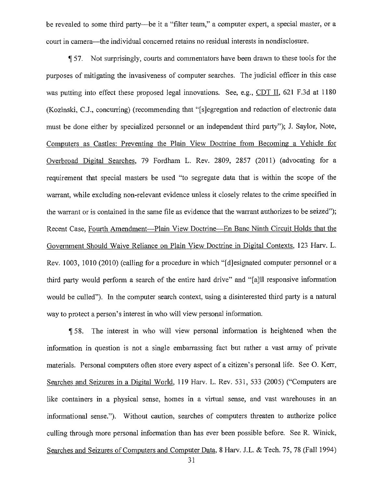be revealed to some third party—be it a "filter team," a computer expert, a special master, or a court in camera—the individual concerned retains no residual interests in nondisclosure.

¶ 57. Not surprisingly, courts and commentators have been drawn to these tools for the purposes of mitigating the invasiveness of computer searches. The judicial officer in this case was putting into effect these proposed legal innovations. See, e.g., CDT II, 621 F.3d at 1180 (Kozinski, C.J., concurring) (recommending that "[sjegregation and redaction of electronic data must be done either by specialized personnel or an independent third party"); J. Saylor, Note, Computers as Castles: Preventing the Plain View Doctrine from Becoming a Vehicle for Overbroad Digital Searches, 79 Fordham L. Rev. 2809, 2857 (2011) (advocating for a requirement that special masters be used "to segregate data that is within the scope of the warrant, while excluding non-relevant evidence unless it closely relates to the crime specified in the warrant or is contained in the same file as evidence that the warrant authorizes to be seized"); Recent Case, Fourth Amendment—Plain View Doctrine—En Banc Ninth Circuit Holds that the Government Should Waive Reliance on Plain View Doctrine in Digital Contexts, 123 Harv. L. Rev. 1003, 1010 (2010) (calling for a procedure in which "[diesignated computer personnel or a third party would perform a search of the entire hard drive" and "fajll responsive information would be culled"). In the computer search context, using a disinterested third party is a natural way to protect a person's interest in who will view personal information.

¶ 58. The interest in who will view personal information is heightened when the information in question is not a single embarrassing fact but rather a vast array of private materials. Personal computers often store every aspect of a citizen's personal life. See 0. Kerr, Searches and Seizures in a Digital World, 119 Harv. L. Rev. 531, 533 (2005) ("Computers are like containers in a physical sense, homes in a virtual sense, and vast warehouses in an informational sense."). Without caution, searches of computers threaten to authorize police culling through more personal information than has ever been possible before. See R. Winick, Searches and Seizures of Computers and Computer Data, 8 Harv. J.L. & Tech. 75, 78 (Fall 1994)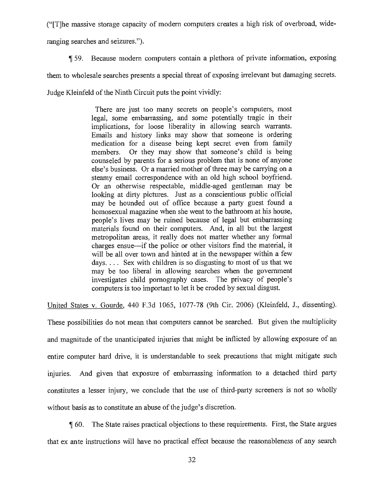("[T]he massive storage capacity of modern computers creates a high risk of overbroad, wideranging searches and seizures.").

1159. Because modern computers contain a plethora of private information, exposing them to wholesale searches presents a special threat of exposing irrelevant but damaging secrets. Judge Kleinfeld of the Ninth Circuit puts the point vividly:

> There are just too many secrets on people's computers, most legal, some embarrassing, and some potentially tragic in their implications, for loose liberality in allowing search warrants. Emails and history links may show that someone is ordering medication for a disease being kept secret even from family members. Or they may show that someone's child is being counseled by parents for a serious problem that is none of anyone else's business. Or a married mother of three may be carrying on a steamy email correspondence with an old high school boyfriend. Or an otherwise respectable, middle-aged gentleman may be looking at dirty pictures. Just as a conscientious public official may be hounded out of office because a party guest found a homosexual magazine when she went to the bathroom at his house, people's lives may be ruined because of legal but embarrassing materials found on their computers. And, in all but the largest metropolitan areas, it really does not matter whether any formal charges ensue—if the police or other visitors find the material, it will be all over town and hinted at in the newspaper within a few days.  $\ldots$  Sex with children is so disgusting to most of us that we may be too liberal in allowing searches when the government investigates child pornography cases. The privacy of people's computers is too important to let it be eroded by sexual disgust.

United States v. Gourde, 440 F.3d 1065, 1077-78 {9th Cir. 2006) (Kleinfeld, J., dissenting).

These possibilities do not mean that computers cannot be searched. But given the multiplicity and magnitude of the unanticipated injuries that might be inflicted by allowing exposure of an entire computer hard drive, it is understandable to seek precautions that might mitigate such injuries. And given that exposure of embarrassing information to a detached third party constitutes a lesser injury, we conclude that the use of third-party screeners is not so wholly without basis as to constitute an abuse of the judge's discretion.

¶ 60. The State raises practical objections to these requirements. First, the State argues that ex ante instructions will have no practical effect because the reasonableness of any search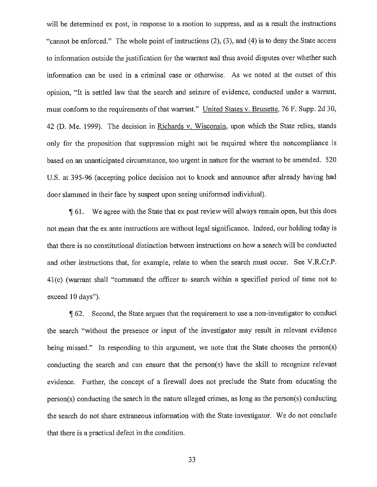will be determined ex post, in response to a motion to suppress, and as a result the instructions "cannot be enforced." The whole point of instructions (2), (3), and (4) is to deny the State access to information outside the justification for the warrant and thus avoid disputes over whether such information can be used in a criminal case or otherwise. As we noted at the outset of this opinion, "It is settled law that the search and seizure of evidence, conducted under a warrant, must conform to the requirements of that warrant." United States v. Brunette, 76 F. Supp. 2d 30, 42 (D. Me. 1999). The decision in Richards v. Wisconsin, upon which the State relies, stands only for the proposition that suppression might not be required where the noncompliance is based on an unanticipated circumstance, too urgent in nature for the warrant to be amended. 520 U.S. at 395-96 (accepting police decision not to knock and announce after already having had door slammed in their face by suspect upon seeing uniformed individual).

61. We agree with the State that ex post review will always remain open, but this does not mean that the ex ante instructions are without legal significance. Indeed, our holding today is that there is no constitutional distinction between instructions on how a search will be conducted and other instructions that, for example, relate to when the search must occur. See V.R.Cr.P. 41(c) (warrant shall "command the officer to search within a specified period of time not to exceed 10 days").

62. Second, the State argues that the requirement to use a non-investigator to conduct the search "without the presence or input of the investigator may result in relevant evidence being missed." In responding to this argument, we note that the State chooses the person(s) conducting the search and can ensure that the person(s) have the skill to recognize relevant evidence. Further, the concept of a firewall does not preclude the State from educating the person(s) conducting the search in the nature alleged crimes, as long as the person(s) conducting the search do not share extraneous information with the State investigator. We do not conclude that there is a practical defect in the condition.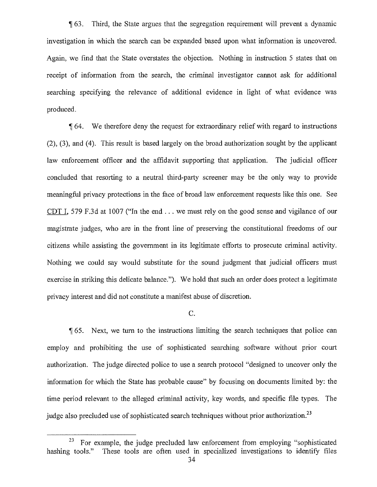1163\_ Third, the State argues that the segregation requirement will prevent a dynamic investigation in which the search can be expanded based upon what information is uncovered. Again, we find that the State overstates the objection. Nothing in instruction 5 states that on receipt of information from the search, the criminal investigator cannot ask for additional searching specifying the relevance of additional evidence in light of what evidence was produced.

1164. We therefore deny the request for extraordinary relief with regard to instructions (2), (3), and (4). This result is based largely on the broad authorization sought by the applicant law enforcement officer and the affidavit supporting that application. The judicial officer concluded that resorting to a neutral third-party screener may be the only way to provide meaningfill privacy protections in the face of broad law enforcement requests like this one. See CDT I, 579 F.3d at 1007 ("In the end  $\dots$  we must rely on the good sense and vigilance of our magistrate judges, who are in the front line of preserving the constitutional freedoms of our citizens while assisting the government in its legitimate efforts to prosecute criminal activity. Nothing we could say would substitute for the sound judgment that judicial officers must exercise in striking this delicate balance."). We hold that such an order does protect a legitimate privacy interest and did not constitute a manifest abuse of discretion.

### C.

 $\sqrt{165}$ . Next, we turn to the instructions limiting the search techniques that police can employ and prohibiting the use of sophisticated searching software without prior court authorization. The judge directed police to use a search protocol "designed to uncover only the information for which the State has probable cause" by focusing on documents limited by: the time period relevant to the alleged criminal activity, key words, and specific file types. The judge also precluded use of sophisticated search techniques without prior authorization.<sup>23</sup>

 $23$  For example, the judge precluded law enforcement from employing "sophisticated hashing tools." These tools are often used in specialized investigations to identify files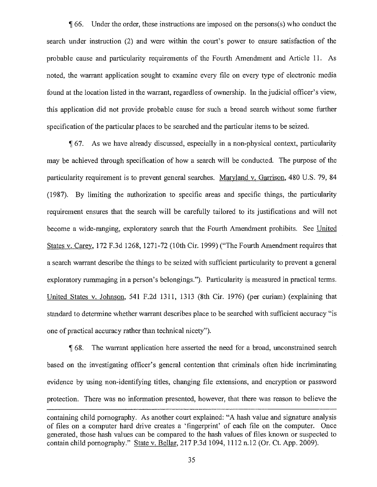1166. Under the order, these instructions are imposed on the persons(s) who conduct the search under instruction {2) and were within the court's power to ensure satisfaction of the probable cause and particularity requirements of the Fourth Amendment and Article 11. As noted, the warrant application sought to examine every file on every type of electronic media found at the location listed in the warrant, regardless of ownership. in the judicial officer's view, this application did not provide probable cause for such a broad search without some further specification of the particular places to be searched and the particular items to be seized.

67. As we have already discussed, especially in a non-physical context, particularity may be achieved through specification of how a search will be conducted. The purpose of the particularity requirement is to prevent general searches. Maryland v. Garrison, 480 U.S. 79, 84 (1987). By limiting the authorization to specific areas and specific things, the particularity requirement ensures that the search will be carefully tailored to its justifications and will not become a wide-ranging, exploratory search that the Fourth Amendment prohibits. See United States v. Carey, 172 F.3d 1268, 1271-72 (10th Cir. 1999) ("The Fourth Amendment requires that a search warrant describe the things to be seized with sufficient particularity to prevent a general exploratory rummaging in a person's belongings."). Particularity is measured in practical terms. United States v. Johnson, 541 F.2d 1311, 1313 (8th Cir. 1976) (per curiam) (explaining that standard to determine whether warrant describes place to be searched with sufficient accuracy "is one of practical accuracy rather than technical nicety").

1168. The warrant application here asserted the need for a broad, unconstrained search based on the investigating officer's general contention that criminals often hide incriminating evidence by using non-identifying titles, changing file extensions, and encryption or password protection. There was no information presented, however, that there was reason to believe the

containing child pornography. As another court explained: "A hash value and signature analysis of files on a computer hard drive creates a 'fingerprint' of each file on the computer. Once generated, those hash values can be compared to the hash values of files known or suspected to contain child pornography." State v. Bellar, 217 P.3d 1094, 1112 n.12 (Or. Ct. App. 2009).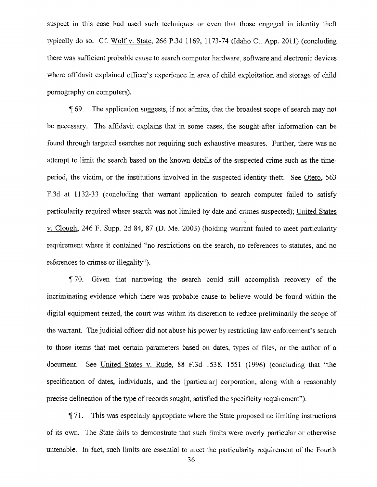suspect in this case had used such techniques or even that those engaged in identity theft typically do so. Cf. Wolf v. State, 266 P.3d 1169, 1173-74 (Idaho Ct. App. 2011) (concluding there was sufficient probable cause to search computer hardware, software and electronic devices where affidavit explained officer's experience in area of child exploitation and storage of child pornography on computers).

1169. The application suggests, if not admits, that the broadest scope of search may not be necessary. The affidavit explains that in some cases, the sought-after information can be found through targeted searches not requiring such exhaustive measures. Further, there was no attempt to limit the search based on the known details of the suspected crime such as the timeperiod, the victim, or the institutions involved in the suspected identity theft. See Otero, 563 F.3d at 1132-33 (concluding that warrant application to search computer failed to satisfy particularity required where search was not limited by date and crimes suspected); United States v. Clough, 246 F. Supp. 2d 84, 87 (D. Me. 2003) (holding warrant failed to meet particularity requirement where it contained "no restrictions on the search, no references to statutes, and no references to crimes or illegality").

70. Given that narrowing the search could still accomplish recovery of the incriminating evidence which there was probable cause to believe would be found within the digital equipment seized, the court was within its discretion to reduce preliminarily the scope of the warrant. The judicial officer did not abuse his power by restricting law enforcement's search to those items that met certain parameters based on dates, types of files, or the author of a document. See United States v. Rude, 88 F.3d 1538, 1551 (1996) (concluding that "the specification of dates, individuals, and the [particular] corporation, along with a reasonably precise delineation of the type of records sought, satisfied the specificity requirement").

¶ 71. This was especially appropriate where the State proposed no limiting instructions of its own. The State fails to demonstrate that such limits were overly particular or otherwise untenable. In fact, such limits are essential to meet the particularity requirement of the Fourth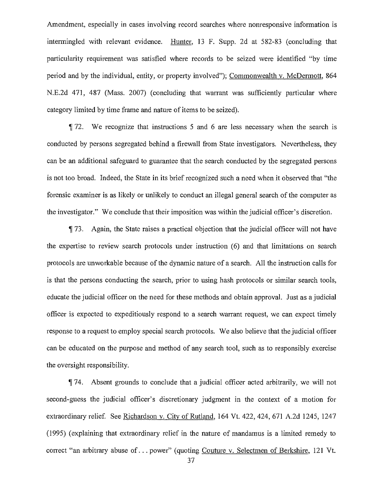Amendment, especially in cases involving record searches where nonresponsive information is intermingled with relevant evidence. Hunter, 13 F. Supp. 2d at 582-83 (concluding that particularity requirement was satisfied where records to be seized were identified "by time period and by the individual, entity, or property involved"); Commonwealth v. McDermott, 864 N.E.2d 471, 487 (Mass. 2007) (concluding that warrant was sufficiently particular where category limited by time frame and nature of items to be seized).

72. We recognize that instructions 5 and 6 are less necessary when the search is conducted by persons segregated behind a firewall from State investigators. Nevertheless, they can be an additional safeguard to guarantee that the search conducted by the segregated persons is not too broad. Indeed, the State in its brief recognized such a need when it observed that "the forensic examiner is as likely or unlikely to conduct an illegal general search of the computer as the investigator." We conclude that their imposition was within the judicial officer's discretion.

¶ 73. Again, the State raises a practical objection that the judicial officer will not have the expertise to review search protocols under instruction (6) and that limitations on search protocols are unworkable because of the dynamic nature of a search. All the instruction calls for is that the persons conducting the search, prior to using hash protocols or similar search tools, educate the judicial officer on the need for these methods and obtain approval. Just as a judicial officer is expected to expeditiously respond to a search warrant request, we can expect timely response to a request to employ special search protocols. We also believe that the judicial officer can be educated on the purpose and method of any search tool, such as to responsibly exercise the oversight responsibility.

¶ 74. Absent grounds to conclude that a judicial officer acted arbitrarily, we will not second-guess the judicial officer's discretionary judgment in the context of a motion for extraordinary relief. See Richardson v. City of Rutland, 164 Vt. 422, 424, 671 A.2d 1245, 1247 (1995) (explaining that extraordinary relief in the nature of mandamus is a limited remedy to correct "an arbitrary abuse of . . . power" (quoting Couture v. Selectmen of Berkshire, 121 Vt.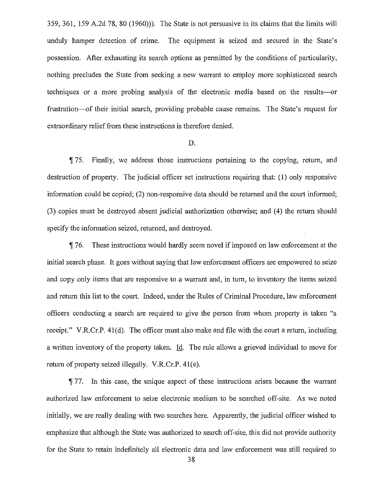359, 361, 159 A.2d 78, 80 (1960))). The State is not persuasive in its claims that the limits will unduly hamper detection of crime. The equipment is seized and secured in the State's possession. After exhausting its search options as permitted by the conditions of particularity, nothing precludes the State from seeking a new warrant to employ more sophisticated search techniques or a more probing analysis of the electronic media based on the results—or frustration—of their initial search, providing probable cause remains. The State's request for extraordinary relief from these instructions is therefore denied.

#### D.

¶ 75. Finally, we address those instructions pertaining to the copying, return, and destruction of property. The judicial officer set instructions requiring that: (1) only responsive information could be copied; (2) non-responsive data should be returned and the court informed; (3) copies must be destroyed absent judicial authorization otherwise; and (4) the return should specify the information seized, returned, and destroyed.

¶ 76. These instructions would hardly seem novel if imposed on law enforcement at the initial search phase. It goes without saying that law enforcement officers are empowered to seize and copy only items that are responsive to a warrant and, in turn, to inventory the items seized and return this list to the court. Indeed, under the Rules of Criminal Procedure, law enforcement officers conducting a search are required to give the person from whom property is taken "a receipt." V.R.Cr.P. 41(d). The officer must also make and file with the court a return, including a written inventory of the property taken. Id. The rule allows a grieved individual to move for return of property seized illegally. V.R.Cr.P. 41(e).

¶ 77. In this case, the unique aspect of these instructions arises because the warrant authorized law enforcement to seize electronic medium to be searched off-site. As we noted initially, we are really dealing with two searches here. Apparently, the judicial officer wished to emphasize that although the State was authorized to search off-site, this did not provide authority for the State to retain indefinitely all electronic data and law enforcement was still required to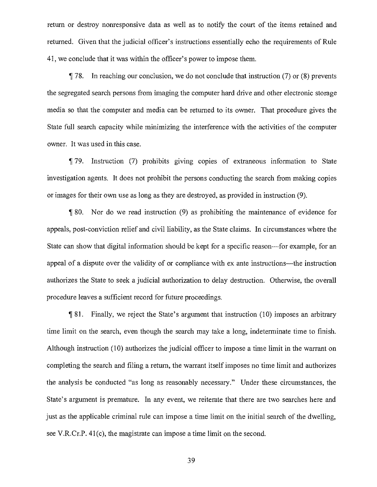return or destroy nonresponsive data as well as to notify the court of the items retained and returned. Given that the judicial officer's instructions essentially echo the requirements of Rule 41, we conclude that it was within the officer's power to impose them.

78. In reaching our conclusion, we do not conclude that instruction (7) or (8) prevents the segregated search persons from imaging the computer hard drive and other electronic storage media so that the computer and media can be returned to its owner. That procedure gives the State full search capacity while minimizing the interference with the activities of the computer owner. It was used in this case.

'1179. Instruction (7) prohibits giving copies of extraneous information to State investigation agents. It does not prohibit the persons conducting the search from making copies or images for their own use as long as they are destroyed, as provided in instruction (9).

 $\lceil 80.$  Nor do we read instruction (9) as prohibiting the maintenance of evidence for appeals, post-conviction relief and civil liability, as the State claims. In circumstances where the State can show that digital information should be kept for a specific reason—for example, for an appeal of a dispute over the validity of or compliance with ex ante instructions—the instruction authorizes the State to seek a judicial authorization to delay destruction. Otherwise, the overall procedure leaves a sufficient record for future proceedings.

If 81. Finally, we reject the State's argument that instruction (10) imposes an arbitrary time limit on the search, even though the search may take a long, indeterminate time to finish. Although instruction (10) authorizes the judicial officer to impose a time limit in the warrant on completing the search and filing a return, the warrant itself imposes no time limit and authorizes the analysis be conducted "as long as reasonably necessary." Under these circumstances, the State's argument is premature. In any event, we reiterate that there are two searches here and just as the applicable criminal rule can impose a time limit on the initial search of the dwelling, see V.R.Cr.P. 41(c), the magistrate can impose a time limit on the second.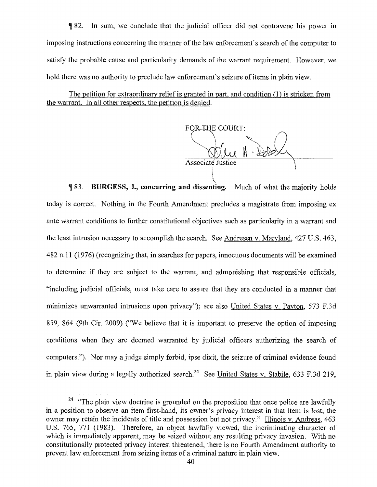¶ 82. In sum, we conclude that the judicial officer did not contravene his power in imposing instructions concerning the manner of the law enforcement's search of the computer to satisfy the probable cause and particularity demands of the warrant requirement. However, we hold there was no authority to preclude law enforcement's seizure of items in plain view.

The petition for extraordinary relief is granted in part. and condition (1) is stricken from the warrant. In all other respects, the petition is denied.

FOR THE COURT: Associate Justice

If 83. **BURGESS, J., concurring and dissenting.** Much of what the majority holds today is correct. Nothing in the Fourth Amendment precludes a magistrate from imposing ex ante warrant conditions to further constitutional objectives such as particularity in a warrant and the least intrusion necessary to accomplish the search. See Andresen v. Maryland, 427 U.S. 463, 482 n.11 (1976) (recognizing that, in searches for papers, innocuous documents will be examined to determine if they are subject to the warrant, and admonishing that responsible officials, "including judicial officials, must take care to assure that they are conducted in a manner that minimizes unwarranted intrusions upon privacy"); see also United States v. Payton, 573 F.3d 859, 864 (9th Cir. 2009) ("We believe that it is important to preserve the option of imposing conditions when they are deemed warranted by judicial officers authorizing the search of computers."). Nor may a judge simply forbid, ipse dixit, the seizure of criminal evidence found in plain view during a legally authorized search.<sup>24</sup> See United States v. Stabile, 633 F.3d 219,

 $24$  "The plain view doctrine is grounded on the proposition that once police are lawfully in a position to observe an item first-hand, its owner's privacy interest in that item is lost; the owner may retain the incidents of title and possession but not privacy." Illinois v. Andreas, 463 U.S. 765, 771 (1983). Therefore, an object lawfully viewed, the incriminating character of which is immediately apparent, may be seized without any resulting privacy invasion. With no constitutionally protected privacy interest threatened, there is no Fourth Amendment authority to prevent law enforcement from seizing items of a criminal nature in plain view.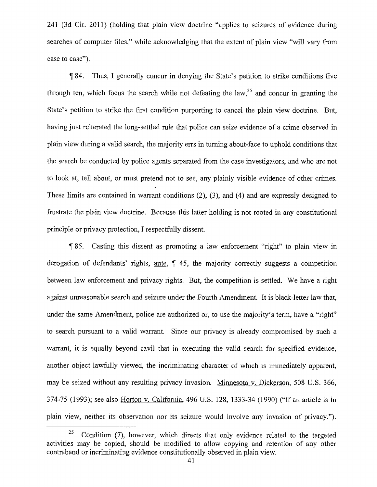241 (3d Cir. 2011) (holding that plain view doctrine "applies to seizures of evidence during searches of computer files," while acknowledging that the extent of plain view "will vary from case to case").

¶ 84. Thus, I generally concur in denying the State's petition to strike conditions five through ten, which focus the search while not defeating the law,  $2<sup>5</sup>$  and concur in granting the State's petition to strike the first condition purporting to cancel the plain view doctrine. But, having just reiterated the long-settled rule that police can seize evidence of a crime observed in plain view during a valid search, the majority errs in turning about-face to uphold conditions that the search be conducted by police agents separated from the case investigators, and who are not to look at, tell about, or must pretend not to see, any plainly visible evidence of other crimes. These limits are contained in warrant conditions (2), (3), and (4) and are expressly designed to frustrate the plain view doctrine. Because this latter holding is not rooted in any constitutional principle or privacy protection, I respectfully dissent.

85. Casting this dissent as promoting a law enforcement "right" to plain view in derogation of defendants' rights, ante, ¶ 45, the majority correctly suggests a competition between law enforcement and privacy rights. But, the competition is settled. We have a right against unreasonable search and seizure under the Fourth Amendment. It is black-letter law that, under the same Amendment, police are authorized or, to use the majority's term, have a "right" to search pursuant to a valid warrant. Since our privacy is already compromised by such a warrant, it is equally beyond cavil that in executing the valid search for specified evidence, another object lawfully viewed, the incriminating character of which is immediately apparent, may be seized without any resulting privacy invasion. Minnesota v. Dickerson, 508 U.S. 366, 374-75 (1993); see also Horton v. California, 496 U.S. 128, 1333-34 (1990) ("If an article is in plain view, neither its observation nor its seizure would involve any invasion of privacy.").

 $25$  Condition (7), however, which directs that only evidence related to the targeted activities may be copied, should be modified to allow copying and retention of any other contraband or incriminating evidence constitutionally observed in plain view.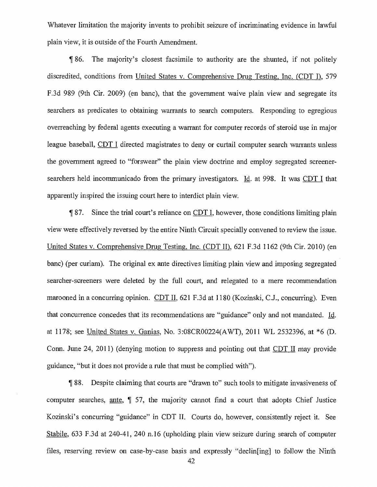Whatever limitation the majority invents to prohibit seizure of incriminating evidence in lawful plain view, it is outside of the Fourth Amendment.

1186. The majority's closest facsimile to authority are the shunted, if not politely discredited, conditions from United States v. Comprehensive Drug Testing. Inc. (CDT I), 579 F.3d 989 (9th Cir. 2009) (en bane), that the government waive plain view and segregate its searchers as predicates to obtaining warrants to search computers. Responding to egregious overreaching by federal agents executing a warrant for computer records of steroid use in major league baseball, CDT I directed magistrates to deny or curtail computer search warrants unless the government agreed to "forswear" the plain view doctrine and employ segregated screenersearchers held incommunicado from the primary investigators. Id. at 998. It was CDT I that apparently inspired the issuing court here to interdict plain view.

87. Since the trial court's reliance on CDT I, however, those conditions limiting plain view were effectively reversed by the entire Ninth Circuit specially convened to review the issue. United States v. Comprehensive Drug Testing, Inc. (CDT II), 621 F.3d 1162 (9th Cir. 2010) (en bane) (per curiam). The original ex ante directives limiting plain view and imposing segregated searcher-screeners were deleted by the full court, and relegated to a mere recommendation marooned in a concurring opinion. CDT II, 621 F.3d at 1180 (Kozinski, C.J., concurring). Even that concurrence concedes that its recommendations are "guidance" only and not mandated. Id. at 1178; see United States v. Ganias, No. 3:08CR00224(AWT), 2011 WL 2532396, at \*6 (D. Conn. June 24, 2011) (denying motion to suppress and pointing out that CDT II may provide guidance, "but it does not provide a rule that must be complied with").

1188. Despite claiming that courts are "drawn to" such tools to mitigate invasiveness of computer searches, ante, ¶ 57, the majority cannot find a court that adopts Chief Justice Kozinski's concurring "guidance" in CDT II. Courts do, however, consistently reject it. See Stabile, 633 F.3d at 240-41, 240 n.16 (upholding plain view seizure during search of computer files, reserving review on case-by-case basis and expressly "declining] to follow the Ninth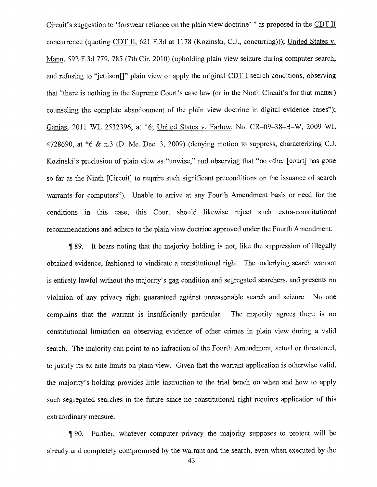Circuit's suggestion to 'forswear reliance on the plain view doctrine' " as proposed in the CDT II concurrence (quoting CDT H, 621 F.3d at 1178 (Kozinski, C.J., concurring))); United States v. Mann, 592 F.3d 779, 785 (7th Cir. 2010) (upholding plain view seizure during computer search, and refusing to "jettison[]" plain view or apply the original CDT I search conditions, observing that "there is nothing in the Supreme Court's case law (or in the Ninth Circuit's for that matter) counseling the complete abandonment of the plain view doctrine in digital evidence cases"); Ganias, 2011 WL 2532396, at \*6; United States v. Farlow, No. CR-09-38—B—W, 2009 WL 4728690, at  $*6 \& n.3$  (D. Me. Dec. 3, 2009) (denying motion to suppress, characterizing C.J. Kozinski's preclusion of plain view as "unwise," and observing that "no other [court] has gone so far as the Ninth [Circuit] to require such significant preconditions on the issuance of search warrants for computers"). Unable to arrive at any Fourth Amendment basis or need for the conditions in this case, this Court should likewise reject such extra-constitutional recommendations and adhere to the plain view doctrine approved under the Fourth Amendment.

¶ 89. It bears noting that the majority holding is not, like the suppression of illegally obtained evidence, fashioned to vindicate a constitutional right. The underlying search warrant is entirely lawful without the majority's gag condition and segregated searchers, and presents no violation of any privacy right guaranteed against unreasonable search and seizure. No one complains that the warrant is insufficiently particular. The majority agrees there is no constitutional limitation on observing evidence of other crimes in plain view during a valid search. The majority can point to no infraction of the Fourth Amendment, actual or threatened, to justify its ex ante limits on plain view. Given that the warrant application is otherwise valid, the majority's holding provides little instruction to the trial bench on when and how to apply such segregated searches in the future since no constitutional right requires application of this extraordinary measure.

90. Further, whatever computer privacy the majority supposes to protect will be already and completely compromised by the warrant and the search, even when executed by the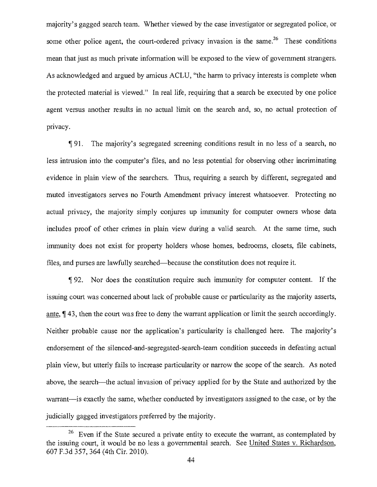majority's gagged search team. Whether viewed by the case investigator or segregated police, or some other police agent, the court-ordered privacy invasion is the same.<sup>26</sup> These conditions mean that just as much private information will be exposed to the view of government strangers. As acknowledged and argued by amicus ACLU, "the harm to privacy interests is complete when the protected material is viewed." In real life, requiring that a search be executed by one police agent versus another results in no actual limit on the search and, so, no actual protection of privacy.

91. The majority's segregated screening conditions result in no less of a search, no less intrusion into the computer's files, and no less potential for observing other incriminating evidence in plain view of the searchers. Thus, requiring a search by different, segregated and muted investigators serves no Fourth Amendment privacy interest whatsoever. Protecting no actual privacy, the majority simply conjures up immunity for computer owners whose data includes proof of other crimes in plain view during a valid search. At the same time, such immunity does not exist for property holders whose homes, bedrooms, closets, file cabinets, files, and purses are lawfully searched—because the constitution does not require it.

1192. Nor does the constitution require such immunity for computer content. If the issuing court was concerned about lack of probable cause or particularity as the majority asserts, ante, ¶ 43, then the court was free to deny the warrant application or limit the search accordingly. Neither probable cause nor the application's particularity is challenged here. The majority's endorsement of the silenced-and-segregated-search-team condition succeeds in defeating actual plain view, but utterly fails to increase particularity or narrow the scope of the search. As noted above, the search—the actual invasion of privacy applied for by the State and authorized by the warrant—is exactly the same, whether conducted by investigators assigned to the case, or by the judicially gagged investigators preferred by the majority.

 $26$  Even if the State secured a private entity to execute the warrant, as contemplated by the issuing court, it would be no less a governmental search. See United States v. Richardson, 607 F.3d 357,364 (4th Cir. 2010).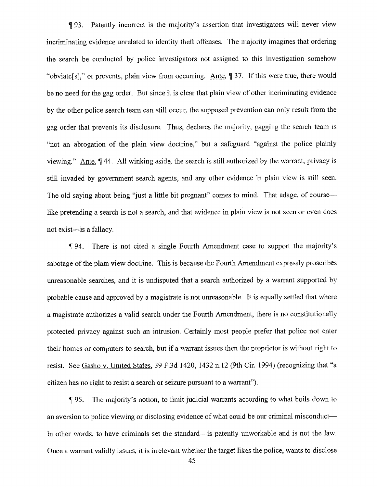If 93. Patently incorrect is the majority's assertion that investigators will never view incriminating evidence unrelated to identity theft offenses. The majority imagines that ordering the search be conducted by police investigators not assigned to this investigation somehow "obviate[sj," or prevents, plain view from occurring. Ante,¶ 37. If this were true, there would be no need for the gag order. But since it is clear that plain view of other incriminating evidence by the other police search team can still occur, the supposed prevention can only result from the gag order that prevents its disclosure. Thus, declares the majority, gagging the search team is "not an abrogation of the plain view doctrine," but a safeguard "against the police plainly viewing." Ante,¶ 44. All winking aside, the search is still authorized by the warrant, privacy is still invaded by government search agents, and any other evidence in plain view is still seen. The old saying about being "just a little bit pregnant" comes to mind. That adage, of course like pretending a search is not a search, and that evidence in plain view is not seen or even does not exist—is a fallacy.

¶ 94. There is not cited a single Fourth Amendment case to support the majority's sabotage of the plain view doctrine. This is because the Fourth Amendment expressly proscribes unreasonable searches, and it is undisputed that a search authorized by a warrant supported by probable cause and approved by a magistrate is not unreasonable. It is equally settled that where a magistrate authorizes a valid search under the Fourth Amendment, there is no constitutionally protected privacy against such an intrusion. Certainly most people prefer that police not enter their homes or computers to search, but if a warrant issues then the proprietor is without right to resist. See Gasho v. United States,39 F.3d 1420, 1432 n.12 (9th Cir. 1994) (recognizing that "a citizen has no right to resist a search or seizure pursuant to a warrant").

95. The majority's notion, to limit judicial warrants according to what boils down to an aversion to police viewing or disclosing evidence of what could be our criminal misconduct in other words, to have criminals set the standard—is patently unworkable and is not the law. Once a warrant validly issues, it is irrelevant whether the target likes the police, wants to disclose

45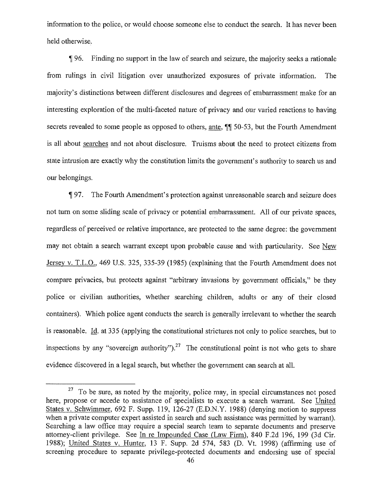information to the police, or would choose someone else to conduct the search. It has never been held otherwise.

96. Finding no support in the law of search and seizure, the majority seeks a rationale from rulings in civil litigation over unauthorized exposures of private information. The majority's distinctions between different disclosures and degrees of embarrassment make for an interesting exploration of the multi-faceted nature of privacy and our varied reactions to having secrets revealed to some people as opposed to others, ante, ¶¶ 50-53, but the Fourth Amendment is all about searches and not about disclosure. Truisms about the need to protect citizens from state intrusion are exactly why the constitution limits the government's authority to search us and our belongings.

1197. The Fourth Amendment's protection against unreasonable search and seizure does not turn on some sliding scale of privacy or potential embarrassment. All of our private spaces, regardless of perceived or relative importance, are protected to the same degree: the government may not obtain a search warrant except upon probable cause and with particularity. See New Jersey v. T.L.O., 469 U.S. 325, 335-39 (1985) (explaining that the Fourth Amendment does not compare privacies, but protects against "arbitrary invasions by government officials," be they police or civilian authorities, whether searching children, adults or any of their closed containers). Which police agent conducts the search is generally irrelevant to whether the search is reasonable. Id. at 335 (applying the constitutional strictures not only to police searches, but to inspections by any "sovereign authority").<sup>27</sup> The constitutional point is not who gets to share evidence discovered in a legal search, but whether the government can search at all.

 $27$  To be sure, as noted by the majority, police may, in special circumstances not posed here, propose or accede to assistance of specialists to execute a search warrant. See United States v. Schwimmer, 692 F. Supp. 119, 126-27 (E.D.N.Y. 1988) (denying motion to suppress when a private computer expert assisted in search and such assistance was permitted by warrant). Searching a law office may require a special search team to separate documents and preserve attorney-client privilege. See In re Impounded Case (Law Firm), 840 F.2d 196, 199 (3d Cir. 1988); United States v. Hunter, 13 F. Supp. 2d 574, 583 (D. Vt. 1998) (affirming use of screening procedure to separate privilege-protected documents and endorsing use of special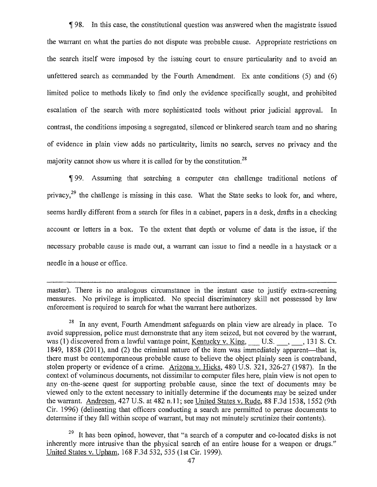1198. In this case, the constitutional question was answered when the magistrate issued the warrant on what the parties do not dispute was probable cause. Appropriate restrictions on the search itself were imposed by the issuing court to ensure particularity and to avoid an unfettered search as commanded by the Fourth Amendment. Ex ante conditions (5) and (6) limited police to methods likely to find only the evidence specifically sought, and prohibited escalation of the search with more sophisticated tools without prior judicial approval. In contrast, the conditions imposing a segregated, silenced or blinkered search team and no sharing of evidence in plain view adds no particularity, limits no search, serves no privacy and the majority cannot show us where it is called for by the constitution.<sup>28</sup>

99. Assuming that searching a computer can challenge traditional notions of privacy,<sup>29</sup> the challenge is missing in this case. What the State seeks to look for, and where, seems hardly different from a search for files in a cabinet, papers in a desk, drafts in a checking account or letters in a box. To the extent that depth or volume of data is the issue, if the necessary probable cause is made out, a warrant can issue to find a needle in a haystack or a needle in a house or office.

master). There is no analogous circumstance in the instant case to justify extra-screening measures. No privilege is implicated. No special discriminatory skill not possessed by law enforcement is required to search for what the warrant here authorizes.

 $28$  In any event, Fourth Amendment safeguards on plain view are already in place. To avoid suppression, police must demonstrate that any item seized, but not covered by the warrant, was (1) discovered from a lawful vantage point, Kentucky v. King,  $\Box$  U.S.  $\Box$ ,  $\Box$ , 131 S. Ct. 1849, 1858 (2011), and (2) the criminal nature of the item was immediately apparent—that is, there must be contemporaneous probable cause to believe the object plainly seen is contraband, stolen property or evidence of a crime. Arizona v. Hicks, 480 U.S. 321, 326-27 (1987). In the context of voluminous documents, not dissimilar to computer files here, plain view is not open to any on-the-scene quest for supporting probable cause, since the text of documents may be viewed only to the extent necessary to initially determine if the documents may be seized under the warrant. Andresen, 427 U.S. at 482 n.11; see United States v. Rude, 88 F.3d 1538, 1552 (9th Cir. 1996) (delineating that officers conducting a search are permitted to peruse documents to determine if they fall within scope of warrant, but may not minutely scrutinize their contents).

 $29$  It has been opined, however, that "a search of a computer and co-located disks is not inherently more intrusive than the physical search of an entire house for a weapon or drugs." United States v. Upham, 168 F.3d 532, 535 (1st Cir. 1999).